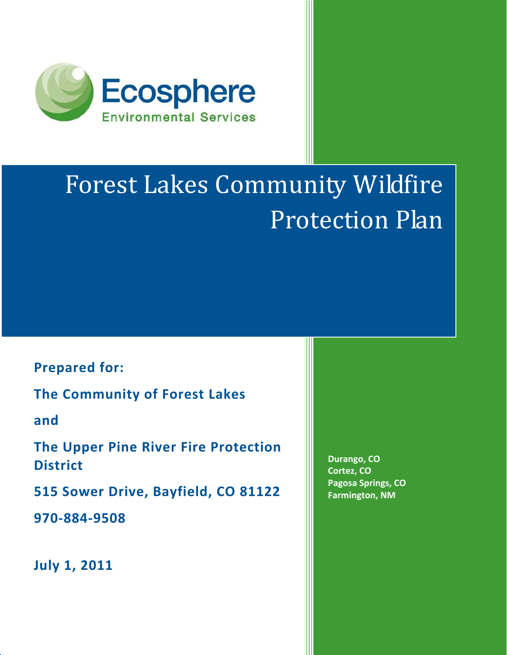

# Forest Lakes Community Wildfire **Protection Plan**

**Prepared for:**

**The Community of Forest Lakes**

**and**

**The Upper Pine River Fire Protection District**

**515 Sower Drive, Bayfield, CO 81122**

**970‐884‐9508**

**July 1, 2011**

**Durango, CO Cortez, CO Pagosa Springs, CO Farmington, NM**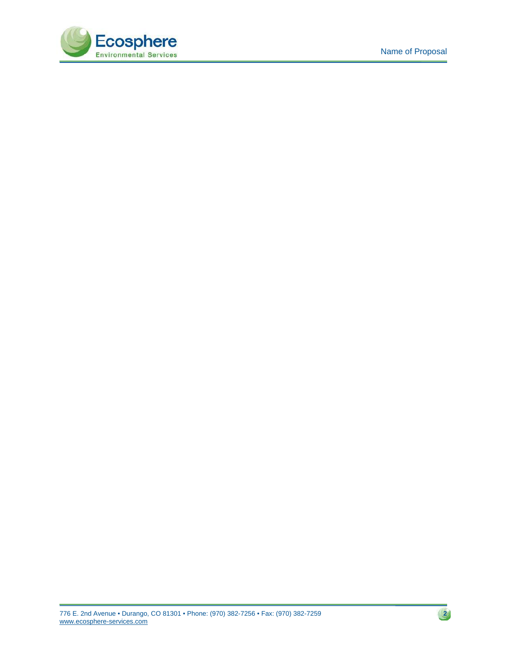



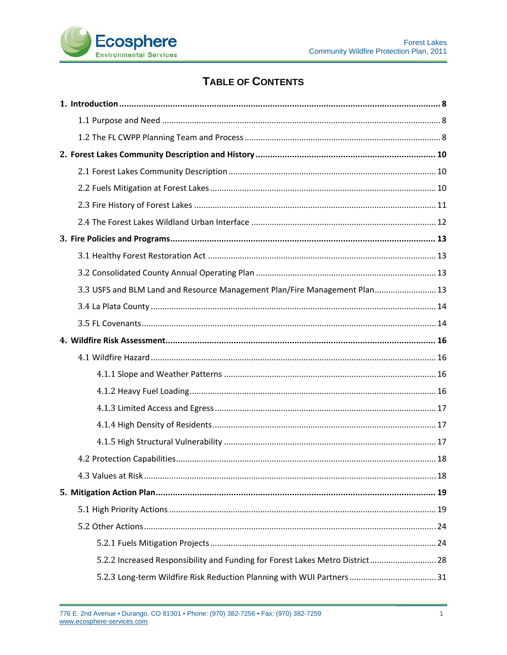

# **TABLE OF CONTENTS**

| 3.3 USFS and BLM Land and Resource Management Plan/Fire Management Plan 13    |  |
|-------------------------------------------------------------------------------|--|
|                                                                               |  |
|                                                                               |  |
|                                                                               |  |
|                                                                               |  |
|                                                                               |  |
|                                                                               |  |
|                                                                               |  |
|                                                                               |  |
|                                                                               |  |
|                                                                               |  |
|                                                                               |  |
|                                                                               |  |
|                                                                               |  |
|                                                                               |  |
|                                                                               |  |
| 5.2.2 Increased Responsibility and Funding for Forest Lakes Metro District 28 |  |
| 5.2.3 Long-term Wildfire Risk Reduction Planning with WUI Partners  31        |  |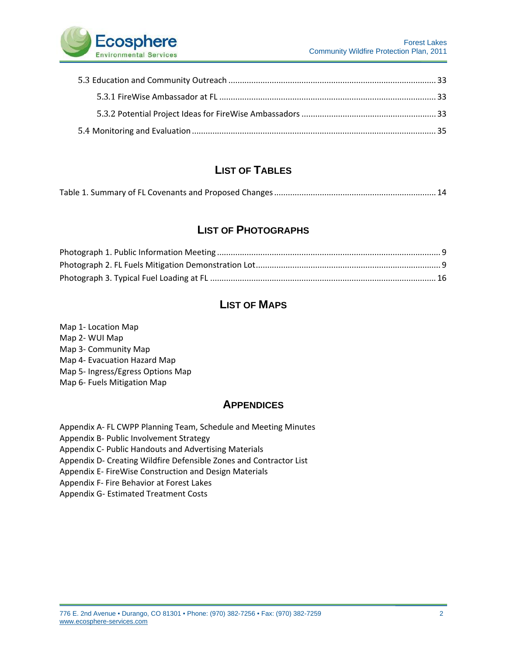

## **LIST OF TABLES**

|--|--|--|--|--|

#### **LIST OF PHOTOGRAPHS**

## **LIST OF MAPS**

Map 1‐ Location Map Map 2‐ WUI Map Map 3‐ Community Map Map 4‐ Evacuation Hazard Map Map 5‐ Ingress/Egress Options Map Map 6‐ Fuels Mitigation Map

## **APPENDICES**

Appendix A‐ FL CWPP Planning Team, Schedule and Meeting Minutes

Appendix B‐ Public Involvement Strategy

Appendix C‐ Public Handouts and Advertising Materials

Appendix D‐ Creating Wildfire Defensible Zones and Contractor List

Appendix E‐ FireWise Construction and Design Materials

Appendix F‐ Fire Behavior at Forest Lakes

Appendix G‐ Estimated Treatment Costs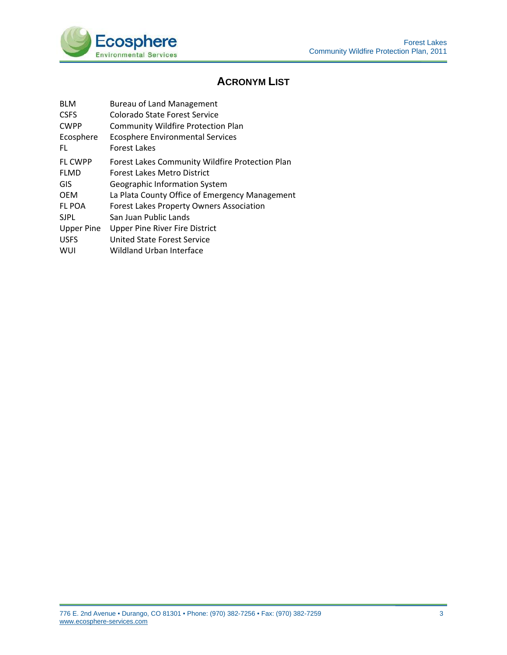

# **ACRONYM LIST**

| <b>BLM</b>     | <b>Bureau of Land Management</b>                |
|----------------|-------------------------------------------------|
| <b>CSFS</b>    | Colorado State Forest Service                   |
| <b>CWPP</b>    | <b>Community Wildfire Protection Plan</b>       |
| Ecosphere      | <b>Ecosphere Environmental Services</b>         |
| FL             | <b>Forest Lakes</b>                             |
| <b>FL CWPP</b> | Forest Lakes Community Wildfire Protection Plan |
| <b>FLMD</b>    | Forest Lakes Metro District                     |
| GIS            | Geographic Information System                   |
| <b>OEM</b>     | La Plata County Office of Emergency Management  |
| FL POA         | <b>Forest Lakes Property Owners Association</b> |
| <b>SJPL</b>    | San Juan Public Lands                           |
| Upper Pine     | Upper Pine River Fire District                  |
| <b>USFS</b>    | United State Forest Service                     |
| WUI            | Wildland Urban Interface                        |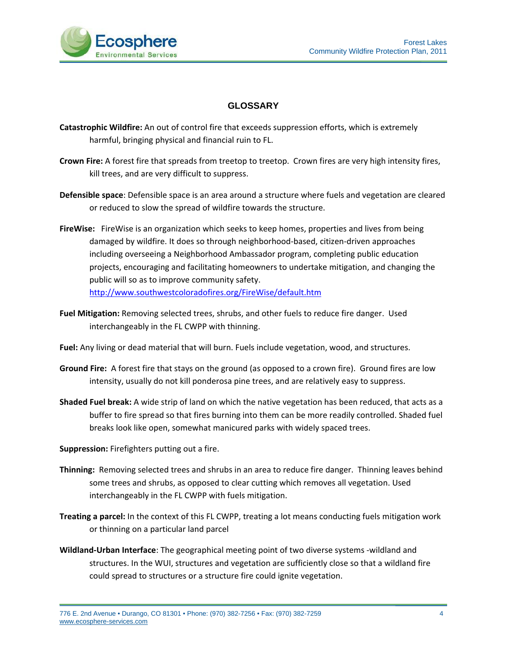

#### **GLOSSARY**

- **Catastrophic Wildfire:** An out of control fire that exceeds suppression efforts, which is extremely harmful, bringing physical and financial ruin to FL.
- **Crown Fire:** A forest fire that spreads from treetop to treetop. Crown fires are very high intensity fires, kill trees, and are very difficult to suppress.
- **Defensible space**: Defensible space is an area around a structure where fuels and vegetation are cleared or reduced to slow the spread of wildfire towards the structure.
- **FireWise:** FireWise is an organization which seeks to keep homes, properties and lives from being damaged by wildfire. It does so through neighborhood‐based, citizen‐driven approaches including overseeing a Neighborhood Ambassador program, completing public education projects, encouraging and facilitating homeowners to undertake mitigation, and changing the public will so as to improve community safety. http://www.southwestcoloradofires.org/FireWise/default.htm
- **Fuel Mitigation:** Removing selected trees, shrubs, and other fuels to reduce fire danger. Used interchangeably in the FL CWPP with thinning.
- **Fuel:** Any living or dead material that will burn. Fuels include vegetation, wood, and structures.
- **Ground Fire:** A forest fire that stays on the ground (as opposed to a crown fire). Ground fires are low intensity, usually do not kill ponderosa pine trees, and are relatively easy to suppress.
- **Shaded Fuel break:** A wide strip of land on which the native vegetation has been reduced, that acts as a buffer to fire spread so that fires burning into them can be more readily controlled. Shaded fuel breaks look like open, somewhat manicured parks with widely spaced trees.

**Suppression:** Firefighters putting out a fire.

- **Thinning:** Removing selected trees and shrubs in an area to reduce fire danger. Thinning leaves behind some trees and shrubs, as opposed to clear cutting which removes all vegetation. Used interchangeably in the FL CWPP with fuels mitigation.
- **Treating a parcel:** In the context of this FL CWPP, treating a lot means conducting fuels mitigation work or thinning on a particular land parcel
- **Wildland‐Urban Interface**: The geographical meeting point of two diverse systems ‐wildland and structures. In the WUI, structures and vegetation are sufficiently close so that a wildland fire could spread to structures or a structure fire could ignite vegetation.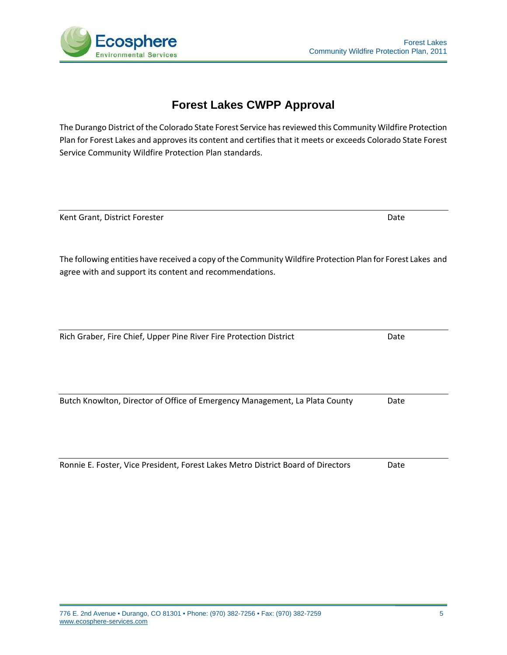## **Forest Lakes CWPP Approval**

The Durango District of the Colorado State Forest Service has reviewed this Community Wildfire Protection Plan for Forest Lakes and approves its content and certifies that it meets or exceeds Colorado State Forest Service Community Wildfire Protection Plan standards.

Kent Grant, District Forester **Branch Access 1999** Date **Date** 

The following entities have received a copy of the Community Wildfire Protection Plan for Forest Lakes and agree with and support its content and recommendations.

Rich Graber, Fire Chief, Upper Pine River Fire Protection District Date

Butch Knowlton, Director of Office of Emergency Management, La Plata County Date

Ronnie E. Foster, Vice President, Forest Lakes Metro District Board of Directors Date

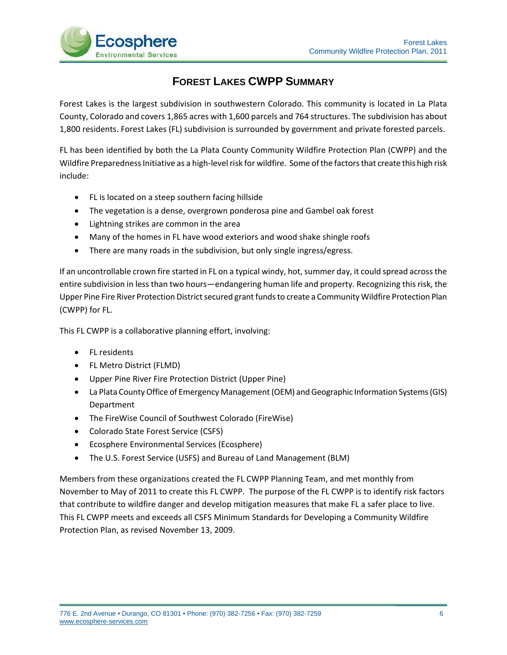

## **FOREST LAKES CWPP SUMMARY**

Forest Lakes is the largest subdivision in southwestern Colorado. This community is located in La Plata County, Colorado and covers 1,865 acres with 1,600 parcels and 764 structures. The subdivision has about 1,800 residents. Forest Lakes (FL) subdivision is surrounded by government and private forested parcels.

FL has been identified by both the La Plata County Community Wildfire Protection Plan (CWPP) and the Wildfire Preparedness Initiative as a high-level risk for wildfire. Some of the factors that create this high risk include:

- FL is located on a steep southern facing hillside
- The vegetation is a dense, overgrown ponderosa pine and Gambel oak forest
- Lightning strikes are common in the area
- Many of the homes in FL have wood exteriors and wood shake shingle roofs
- There are many roads in the subdivision, but only single ingress/egress.

If an uncontrollable crown fire started in FL on a typical windy, hot, summer day, it could spread across the entire subdivision in less than two hours—endangering human life and property. Recognizing this risk, the Upper Pine Fire River Protection District secured grant funds to create a Community Wildfire Protection Plan (CWPP) for FL.

This FL CWPP is a collaborative planning effort, involving:

- FL residents
- FL Metro District (FLMD)
- Upper Pine River Fire Protection District (Upper Pine)
- La Plata County Office of Emergency Management (OEM) and Geographic Information Systems (GIS) Department
- The FireWise Council of Southwest Colorado (FireWise)
- Colorado State Forest Service (CSFS)
- Ecosphere Environmental Services (Ecosphere)
- The U.S. Forest Service (USFS) and Bureau of Land Management (BLM)

Members from these organizations created the FL CWPP Planning Team, and met monthly from November to May of 2011 to create this FL CWPP. The purpose of the FL CWPP is to identify risk factors that contribute to wildfire danger and develop mitigation measures that make FL a safer place to live. This FL CWPP meets and exceeds all CSFS Minimum Standards for Developing a Community Wildfire Protection Plan, as revised November 13, 2009.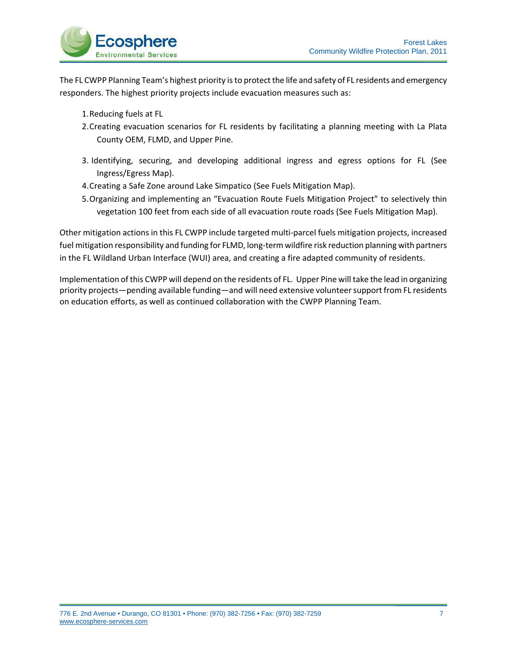

The FL CWPP Planning Team's highest priority is to protect the life and safety of FL residents and emergency responders. The highest priority projects include evacuation measures such as:

- 1.Reducing fuels at FL
- 2.Creating evacuation scenarios for FL residents by facilitating a planning meeting with La Plata County OEM, FLMD, and Upper Pine.
- 3. Identifying, securing, and developing additional ingress and egress options for FL (See Ingress/Egress Map).
- 4.Creating a Safe Zone around Lake Simpatico (See Fuels Mitigation Map).
- 5.Organizing and implementing an "Evacuation Route Fuels Mitigation Project" to selectively thin vegetation 100 feet from each side of all evacuation route roads (See Fuels Mitigation Map).

Other mitigation actions in this FL CWPP include targeted multi‐parcel fuels mitigation projects, increased fuel mitigation responsibility and funding for FLMD, long-term wildfire risk reduction planning with partners in the FL Wildland Urban Interface (WUI) area, and creating a fire adapted community of residents.

Implementation of this CWPP will depend on the residents of FL. Upper Pine will take the lead in organizing priority projects—pending available funding—and will need extensive volunteersupport from FL residents on education efforts, as well as continued collaboration with the CWPP Planning Team.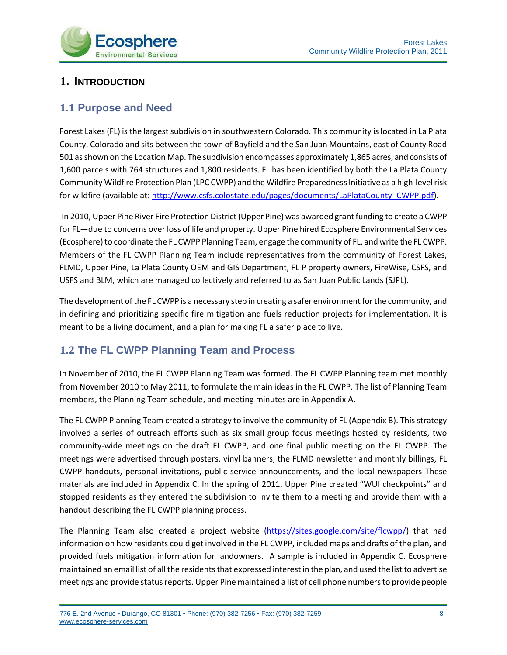

## **1. INTRODUCTION**

## **1.1 Purpose and Need**

Forest Lakes (FL) is the largest subdivision in southwestern Colorado. This community is located in La Plata County, Colorado and sits between the town of Bayfield and the San Juan Mountains, east of County Road 501 asshown on the Location Map. The subdivision encompasses approximately 1,865 acres, and consists of 1,600 parcels with 764 structures and 1,800 residents. FL has been identified by both the La Plata County Community Wildfire Protection Plan (LPC CWPP) and the Wildfire Preparedness Initiative as a high-level risk for wildfire (available at: http://www.csfs.colostate.edu/pages/documents/LaPlataCounty\_CWPP.pdf).

In 2010, Upper Pine River Fire Protection District (Upper Pine) was awarded grant funding to create a CWPP for FL—due to concerns over loss of life and property. Upper Pine hired Ecosphere Environmental Services (Ecosphere) to coordinate the FL CWPP Planning Team, engage the community of FL, and write the FL CWPP. Members of the FL CWPP Planning Team include representatives from the community of Forest Lakes, FLMD, Upper Pine, La Plata County OEM and GIS Department, FL P property owners, FireWise, CSFS, and USFS and BLM, which are managed collectively and referred to as San Juan Public Lands (SJPL).

The development of the FL CWPP is a necessary step in creating a safer environment for the community, and in defining and prioritizing specific fire mitigation and fuels reduction projects for implementation. It is meant to be a living document, and a plan for making FL a safer place to live.

## **1.2 The FL CWPP Planning Team and Process**

In November of 2010, the FL CWPP Planning Team was formed. The FL CWPP Planning team met monthly from November 2010 to May 2011, to formulate the main ideas in the FL CWPP. The list of Planning Team members, the Planning Team schedule, and meeting minutes are in Appendix A.

The FL CWPP Planning Team created a strategy to involve the community of FL (Appendix B). This strategy involved a series of outreach efforts such as six small group focus meetings hosted by residents, two community-wide meetings on the draft FL CWPP, and one final public meeting on the FL CWPP. The meetings were advertised through posters, vinyl banners, the FLMD newsletter and monthly billings, FL CWPP handouts, personal invitations, public service announcements, and the local newspapers These materials are included in Appendix C. In the spring of 2011, Upper Pine created "WUI checkpoints" and stopped residents as they entered the subdivision to invite them to a meeting and provide them with a handout describing the FL CWPP planning process.

The Planning Team also created a project website (https://sites.google.com/site/flcwpp/) that had information on how residents could get involved in the FL CWPP, included maps and drafts of the plan, and provided fuels mitigation information for landowners. A sample is included in Appendix C. Ecosphere maintained an email list of all the residents that expressed interest in the plan, and used the list to advertise meetings and provide status reports. Upper Pine maintained a list of cell phone numbers to provide people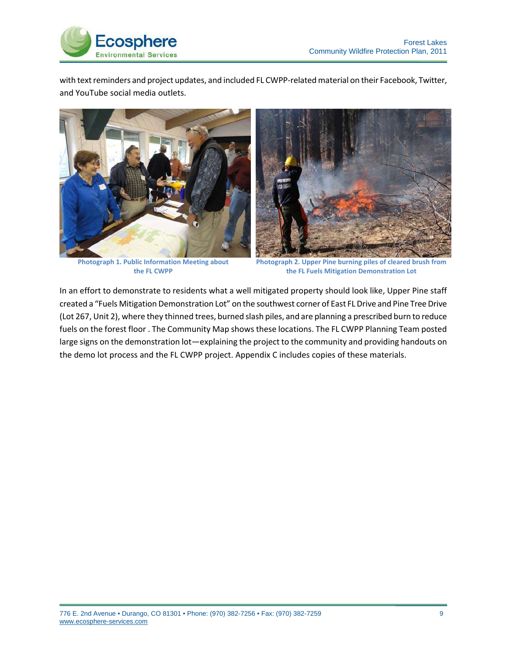

with text reminders and project updates, and included FL CWPP-related material on their Facebook, Twitter, and YouTube social media outlets.



**Photograph 1. Public Information Meeting about the FL CWPP**



**Photograph 2. Upper Pine burning piles of cleared brush from the FL Fuels Mitigation Demonstration Lot**

In an effort to demonstrate to residents what a well mitigated property should look like, Upper Pine staff created a "Fuels Mitigation Demonstration Lot" on the southwest corner of East FL Drive and Pine Tree Drive (Lot 267, Unit 2), where they thinned trees, burned slash piles, and are planning a prescribed burn to reduce fuels on the forest floor . The Community Map shows these locations. The FL CWPP Planning Team posted large signs on the demonstration lot—explaining the project to the community and providing handouts on the demo lot process and the FL CWPP project. Appendix C includes copies of these materials.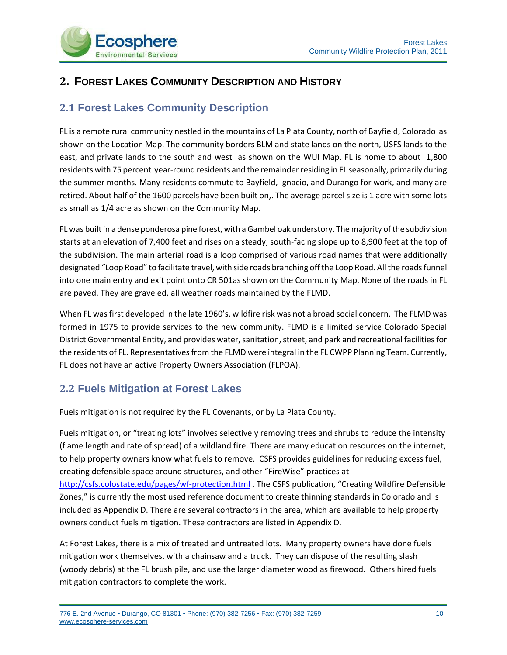

## **2. FOREST LAKES COMMUNITY DESCRIPTION AND HISTORY**

## **2.1 Forest Lakes Community Description**

FL is a remote rural community nestled in the mountains of La Plata County, north of Bayfield, Colorado as shown on the Location Map. The community borders BLM and state lands on the north, USFS lands to the east, and private lands to the south and west as shown on the WUI Map. FL is home to about 1,800 residents with 75 percent vear-round residents and the remainder residing in FL seasonally, primarily during the summer months. Many residents commute to Bayfield, Ignacio, and Durango for work, and many are retired. About half of the 1600 parcels have been built on,. The average parcel size is 1 acre with some lots as small as 1/4 acre as shown on the Community Map.

FL was built in a dense ponderosa pine forest, with a Gambel oak understory. The majority of the subdivision starts at an elevation of 7,400 feet and rises on a steady, south‐facing slope up to 8,900 feet at the top of the subdivision. The main arterial road is a loop comprised of various road names that were additionally designated "Loop Road" to facilitate travel, with side roads branching off the Loop Road. All the roads funnel into one main entry and exit point onto CR 501as shown on the Community Map. None of the roads in FL are paved. They are graveled, all weather roads maintained by the FLMD.

When FL wasfirst developed in the late 1960's, wildfire risk was not a broad social concern. The FLMD was formed in 1975 to provide services to the new community. FLMD is a limited service Colorado Special District Governmental Entity, and provides water, sanitation, street, and park and recreational facilities for the residents of FL. Representatives from the FLMD were integral in the FL CWPP Planning Team. Currently, FL does not have an active Property Owners Association (FLPOA).

## **2.2 Fuels Mitigation at Forest Lakes**

Fuels mitigation is not required by the FL Covenants, or by La Plata County.

Fuels mitigation, or "treating lots" involves selectively removing trees and shrubs to reduce the intensity (flame length and rate of spread) of a wildland fire. There are many education resources on the internet, to help property owners know what fuels to remove. CSFS provides guidelines for reducing excess fuel, creating defensible space around structures, and other "FireWise" practices at http://csfs.colostate.edu/pages/wf-protection.html . The CSFS publication, "Creating Wildfire Defensible Zones," is currently the most used reference document to create thinning standards in Colorado and is included as Appendix D. There are several contractors in the area, which are available to help property owners conduct fuels mitigation. These contractors are listed in Appendix D.

At Forest Lakes, there is a mix of treated and untreated lots. Many property owners have done fuels mitigation work themselves, with a chainsaw and a truck. They can dispose of the resulting slash (woody debris) at the FL brush pile, and use the larger diameter wood as firewood. Others hired fuels mitigation contractors to complete the work.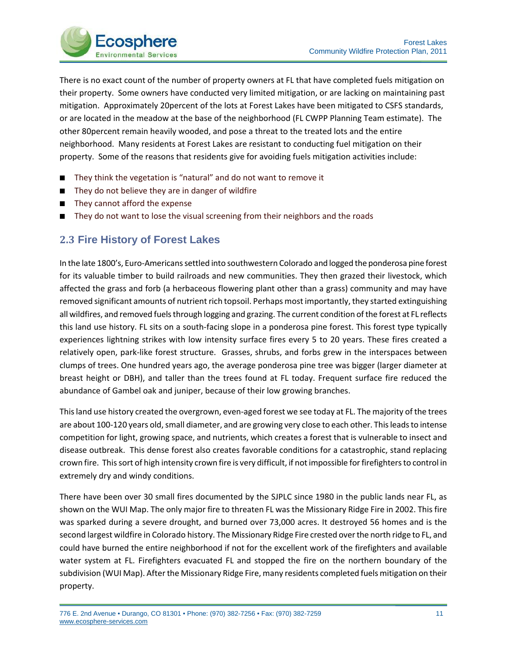

There is no exact count of the number of property owners at FL that have completed fuels mitigation on their property. Some owners have conducted very limited mitigation, or are lacking on maintaining past mitigation. Approximately 20percent of the lots at Forest Lakes have been mitigated to CSFS standards, or are located in the meadow at the base of the neighborhood (FL CWPP Planning Team estimate). The other 80percent remain heavily wooded, and pose a threat to the treated lots and the entire neighborhood. Many residents at Forest Lakes are resistant to conducting fuel mitigation on their property. Some of the reasons that residents give for avoiding fuels mitigation activities include:

- They think the vegetation is "natural" and do not want to remove it
- They do not believe they are in danger of wildfire
- They cannot afford the expense
- They do not want to lose the visual screening from their neighbors and the roads

## **2.3 Fire History of Forest Lakes**

In the late 1800's, Euro‐Americanssettled into southwestern Colorado and logged the ponderosa pine forest for its valuable timber to build railroads and new communities. They then grazed their livestock, which affected the grass and forb (a herbaceous flowering plant other than a grass) community and may have removed significant amounts of nutrient rich topsoil. Perhaps most importantly, they started extinguishing all wildfires, and removed fuels through logging and grazing. The current condition of the forest at FL reflects this land use history. FL sits on a south‐facing slope in a ponderosa pine forest. This forest type typically experiences lightning strikes with low intensity surface fires every 5 to 20 years. These fires created a relatively open, park‐like forest structure. Grasses, shrubs, and forbs grew in the interspaces between clumps of trees. One hundred years ago, the average ponderosa pine tree was bigger (larger diameter at breast height or DBH), and taller than the trees found at FL today. Frequent surface fire reduced the abundance of Gambel oak and juniper, because of their low growing branches.

This land use history created the overgrown, even-aged forest we see today at FL. The majority of the trees are about 100-120 years old, small diameter, and are growing very close to each other. This leads to intense competition for light, growing space, and nutrients, which creates a forest that is vulnerable to insect and disease outbreak. This dense forest also creates favorable conditions for a catastrophic, stand replacing crown fire. Thissort of high intensity crown fire is very difficult, if notimpossible forfirefightersto control in extremely dry and windy conditions.

There have been over 30 small fires documented by the SJPLC since 1980 in the public lands near FL, as shown on the WUI Map. The only major fire to threaten FL was the Missionary Ridge Fire in 2002. This fire was sparked during a severe drought, and burned over 73,000 acres. It destroyed 56 homes and is the second largest wildfire in Colorado history. The Missionary Ridge Fire crested overthe north ridge to FL, and could have burned the entire neighborhood if not for the excellent work of the firefighters and available water system at FL. Firefighters evacuated FL and stopped the fire on the northern boundary of the subdivision (WUI Map). Afterthe Missionary Ridge Fire, many residents completed fuels mitigation on their property.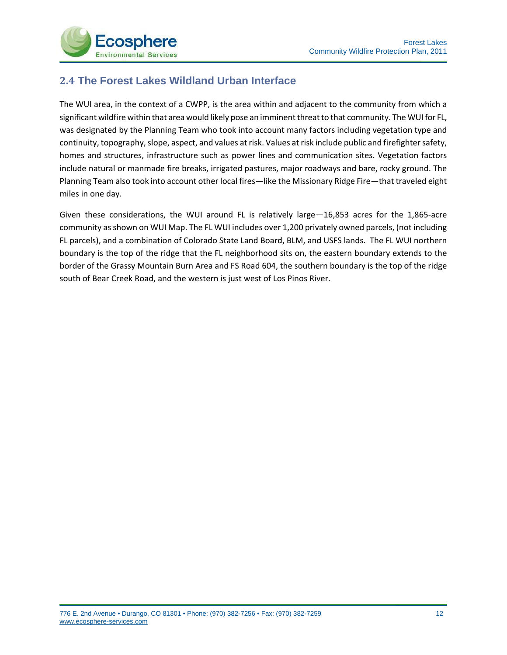

## **2.4 The Forest Lakes Wildland Urban Interface**

The WUI area, in the context of a CWPP, is the area within and adjacent to the community from which a significant wildfire within that area would likely pose an imminent threat to that community. The WUI for FL, was designated by the Planning Team who took into account many factors including vegetation type and continuity, topography, slope, aspect, and values at risk. Values at risk include public and firefighter safety, homes and structures, infrastructure such as power lines and communication sites. Vegetation factors include natural or manmade fire breaks, irrigated pastures, major roadways and bare, rocky ground. The Planning Team also took into account other local fires—like the Missionary Ridge Fire—that traveled eight miles in one day.

Given these considerations, the WUI around FL is relatively large—16,853 acres for the 1,865‐acre community as shown on WUI Map. The FL WUI includes over 1,200 privately owned parcels, (not including FL parcels), and a combination of Colorado State Land Board, BLM, and USFS lands. The FL WUI northern boundary is the top of the ridge that the FL neighborhood sits on, the eastern boundary extends to the border of the Grassy Mountain Burn Area and FS Road 604, the southern boundary is the top of the ridge south of Bear Creek Road, and the western is just west of Los Pinos River.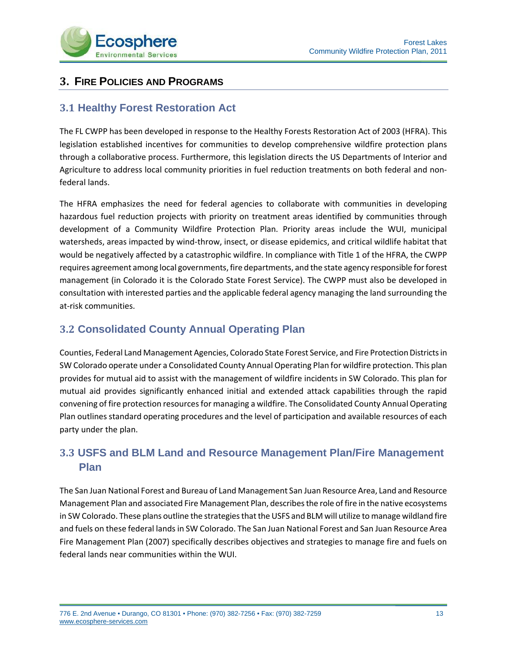

## **3. FIRE POLICIES AND PROGRAMS**

## **3.1 Healthy Forest Restoration Act**

The FL CWPP has been developed in response to the Healthy Forests Restoration Act of 2003 (HFRA). This legislation established incentives for communities to develop comprehensive wildfire protection plans through a collaborative process. Furthermore, this legislation directs the US Departments of Interior and Agriculture to address local community priorities in fuel reduction treatments on both federal and non‐ federal lands.

The HFRA emphasizes the need for federal agencies to collaborate with communities in developing hazardous fuel reduction projects with priority on treatment areas identified by communities through development of a Community Wildfire Protection Plan. Priority areas include the WUI, municipal watersheds, areas impacted by wind‐throw, insect, or disease epidemics, and critical wildlife habitat that would be negatively affected by a catastrophic wildfire. In compliance with Title 1 of the HFRA, the CWPP requires agreement among local governments, fire departments, and the state agency responsible for forest management (in Colorado it is the Colorado State Forest Service). The CWPP must also be developed in consultation with interested parties and the applicable federal agency managing the land surrounding the at‐risk communities.

## **3.2 Consolidated County Annual Operating Plan**

Counties, Federal Land Management Agencies, Colorado State Forest Service, and Fire Protection Districts in SW Colorado operate under a Consolidated County Annual Operating Plan for wildfire protection. This plan provides for mutual aid to assist with the management of wildfire incidents in SW Colorado. This plan for mutual aid provides significantly enhanced initial and extended attack capabilities through the rapid convening of fire protection resourcesfor managing a wildfire. The Consolidated County Annual Operating Plan outlines standard operating procedures and the level of participation and available resources of each party under the plan.

## **3.3 USFS and BLM Land and Resource Management Plan/Fire Management Plan**

The San Juan National Forest and Bureau of Land Management San Juan Resource Area, Land and Resource Management Plan and associated Fire Management Plan, describesthe role of fire in the native ecosystems in SW Colorado. These plans outline the strategies that the USFS and BLM will utilize to manage wildland fire and fuels on these federal landsin SW Colorado. The San Juan National Forest and San Juan Resource Area Fire Management Plan (2007) specifically describes objectives and strategies to manage fire and fuels on federal lands near communities within the WUI.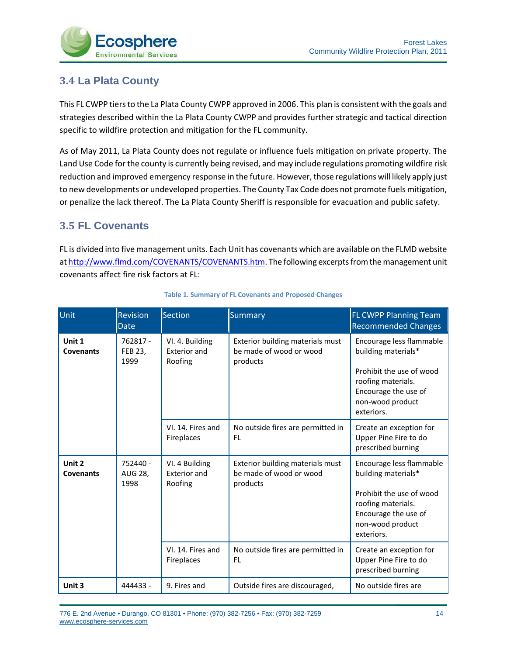

## **3.4 La Plata County**

This FL CWPP tiers to the La Plata County CWPP approved in 2006. This plan is consistent with the goals and strategies described within the La Plata County CWPP and provides further strategic and tactical direction specific to wildfire protection and mitigation for the FL community.

As of May 2011, La Plata County does not regulate or influence fuels mitigation on private property. The Land Use Code forthe county is currently being revised, andmay include regulations promoting wildfire risk reduction and improved emergency response in the future. However, those regulations will likely apply just to new developments or undeveloped properties. The County Tax Code does not promote fuels mitigation, or penalize the lack thereof. The La Plata County Sheriff is responsible for evacuation and public safety.

## **3.5 FL Covenants**

FL is divided into five management units. Each Unit has covenants which are available on the FLMD website at http://www.flmd.com/COVENANTS/COVENANTS.htm. The following excerpts from the management unit covenants affect fire risk factors at FL:

| Unit                       | <b>Revision</b><br><b>Date</b> | Section                                           | <b>Summary</b>                                                          | FL CWPP Planning Team<br><b>Recommended Changes</b>                                                                                                         |
|----------------------------|--------------------------------|---------------------------------------------------|-------------------------------------------------------------------------|-------------------------------------------------------------------------------------------------------------------------------------------------------------|
| Unit 1<br><b>Covenants</b> | 762817 -<br>FEB 23,<br>1999    | VI. 4. Building<br><b>Exterior and</b><br>Roofing | Exterior building materials must<br>be made of wood or wood<br>products | Encourage less flammable<br>building materials*<br>Prohibit the use of wood<br>roofing materials.<br>Encourage the use of<br>non-wood product<br>exteriors. |
|                            |                                | VI. 14. Fires and<br>Fireplaces                   | No outside fires are permitted in<br>FL.                                | Create an exception for<br>Upper Pine Fire to do<br>prescribed burning                                                                                      |
| Unit 2<br><b>Covenants</b> | 752440 -<br>AUG 28,<br>1998    | VI. 4 Building<br><b>Exterior and</b><br>Roofing  | Exterior building materials must<br>be made of wood or wood<br>products | Encourage less flammable<br>building materials*<br>Prohibit the use of wood<br>roofing materials.<br>Encourage the use of<br>non-wood product<br>exteriors. |
|                            |                                | VI. 14. Fires and<br>Fireplaces                   | No outside fires are permitted in<br>FL                                 | Create an exception for<br>Upper Pine Fire to do<br>prescribed burning                                                                                      |
| Unit 3                     | 444433 -                       | 9. Fires and                                      | Outside fires are discouraged,                                          | No outside fires are                                                                                                                                        |

#### **Table 1. Summary of FL Covenants and Proposed Changes**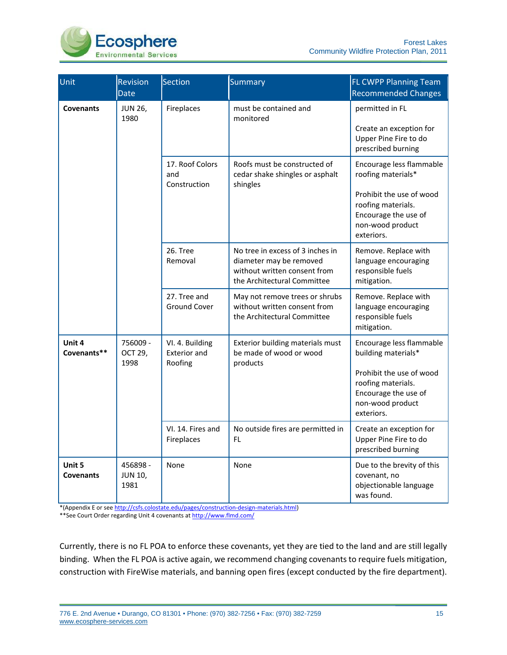

| Unit                       | <b>Revision</b>                    | <b>Section</b>                                    | <b>Summary</b>                                                                                                             | FL CWPP Planning Team                                                                                                                                       |
|----------------------------|------------------------------------|---------------------------------------------------|----------------------------------------------------------------------------------------------------------------------------|-------------------------------------------------------------------------------------------------------------------------------------------------------------|
|                            | <b>Date</b>                        |                                                   |                                                                                                                            | <b>Recommended Changes</b>                                                                                                                                  |
| <b>Covenants</b>           | <b>JUN 26,</b><br>1980             | Fireplaces                                        | must be contained and<br>monitored                                                                                         | permitted in FL<br>Create an exception for<br>Upper Pine Fire to do<br>prescribed burning                                                                   |
|                            |                                    | 17. Roof Colors<br>and<br>Construction            | Roofs must be constructed of<br>cedar shake shingles or asphalt<br>shingles                                                | Encourage less flammable<br>roofing materials*<br>Prohibit the use of wood<br>roofing materials.<br>Encourage the use of<br>non-wood product<br>exteriors.  |
|                            |                                    | 26. Tree<br>Removal                               | No tree in excess of 3 inches in<br>diameter may be removed<br>without written consent from<br>the Architectural Committee | Remove. Replace with<br>language encouraging<br>responsible fuels<br>mitigation.                                                                            |
|                            |                                    | 27. Tree and<br><b>Ground Cover</b>               | May not remove trees or shrubs<br>without written consent from<br>the Architectural Committee                              | Remove. Replace with<br>language encouraging<br>responsible fuels<br>mitigation.                                                                            |
| Unit 4<br>Covenants**      | 756009 -<br>OCT 29,<br>1998        | VI. 4. Building<br><b>Exterior and</b><br>Roofing | Exterior building materials must<br>be made of wood or wood<br>products                                                    | Encourage less flammable<br>building materials*<br>Prohibit the use of wood<br>roofing materials.<br>Encourage the use of<br>non-wood product<br>exteriors. |
|                            |                                    | VI. 14. Fires and<br>Fireplaces                   | No outside fires are permitted in<br>FL.                                                                                   | Create an exception for<br>Upper Pine Fire to do<br>prescribed burning                                                                                      |
| Unit 5<br><b>Covenants</b> | 456898 -<br><b>JUN 10,</b><br>1981 | None                                              | None                                                                                                                       | Due to the brevity of this<br>covenant, no<br>objectionable language<br>was found.                                                                          |

\*(Appendix E or see http://csfs.colostate.edu/pages/construction‐design‐materials.html) \*\*See Court Order regarding Unit 4 covenants at http://www.flmd.com/

Currently, there is no FL POA to enforce these covenants, yet they are tied to the land and are still legally binding. When the FL POA is active again, we recommend changing covenants to require fuels mitigation, construction with FireWise materials, and banning open fires (except conducted by the fire department).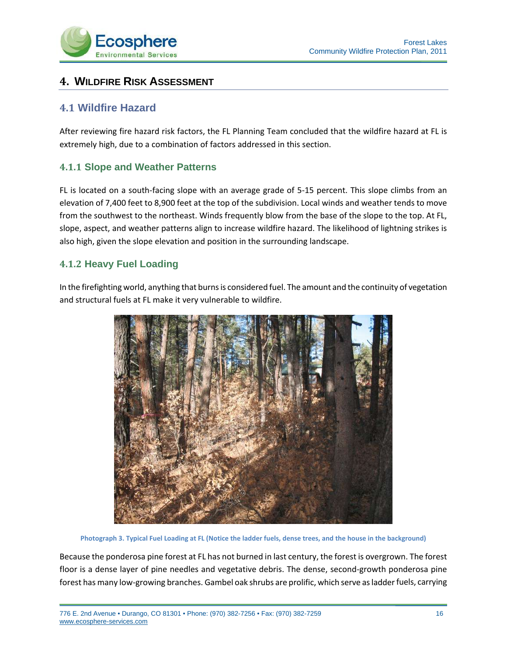

## **4. WILDFIRE RISK ASSESSMENT**

#### **4.1 Wildfire Hazard**

After reviewing fire hazard risk factors, the FL Planning Team concluded that the wildfire hazard at FL is extremely high, due to a combination of factors addressed in this section.

#### **4.1.1 Slope and Weather Patterns**

FL is located on a south‐facing slope with an average grade of 5‐15 percent. This slope climbs from an elevation of 7,400 feet to 8,900 feet at the top of the subdivision. Local winds and weather tends to move from the southwest to the northeast. Winds frequently blow from the base of the slope to the top. At FL, slope, aspect, and weather patterns align to increase wildfire hazard. The likelihood of lightning strikes is also high, given the slope elevation and position in the surrounding landscape.

#### **4.1.2 Heavy Fuel Loading**

In the firefighting world, anything that burnsis considered fuel. The amount and the continuity of vegetation and structural fuels at FL make it very vulnerable to wildfire.



Photograph 3. Typical Fuel Loading at FL (Notice the ladder fuels, dense trees, and the house in the background)

Because the ponderosa pine forest at FL has not burned in last century, the forest is overgrown. The forest floor is a dense layer of pine needles and vegetative debris. The dense, second-growth ponderosa pine forest has many low-growing branches. Gambel oak shrubs are prolific, which serve as ladder fuels, carrying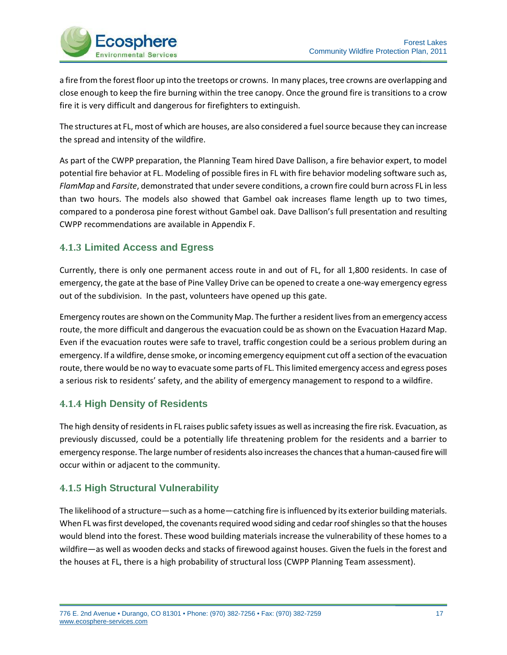

a fire from the forestfloor up into the treetops or crowns. In many places, tree crowns are overlapping and close enough to keep the fire burning within the tree canopy. Once the ground fire is transitions to a crow fire it is very difficult and dangerous for firefighters to extinguish.

The structures at FL, most of which are houses, are also considered a fuelsource because they can increase the spread and intensity of the wildfire.

As part of the CWPP preparation, the Planning Team hired Dave Dallison, a fire behavior expert, to model potential fire behavior at FL. Modeling of possible fires in FL with fire behavior modeling software such as, *FlamMap* and *Farsite*, demonstrated that undersevere conditions, a crown fire could burn across FL in less than two hours. The models also showed that Gambel oak increases flame length up to two times, compared to a ponderosa pine forest without Gambel oak. Dave Dallison's full presentation and resulting CWPP recommendations are available in Appendix F.

#### **4.1.3 Limited Access and Egress**

Currently, there is only one permanent access route in and out of FL, for all 1,800 residents. In case of emergency, the gate at the base of Pine Valley Drive can be opened to create a one‐way emergency egress out of the subdivision. In the past, volunteers have opened up this gate.

Emergency routes are shown on the Community Map. The further a resident lives from an emergency access route, the more difficult and dangerous the evacuation could be as shown on the Evacuation Hazard Map. Even if the evacuation routes were safe to travel, traffic congestion could be a serious problem during an emergency. If a wildfire, dense smoke, or incoming emergency equipment cut off a section of the evacuation route, there would be no way to evacuate some parts of FL. Thislimited emergency access and egress poses a serious risk to residents' safety, and the ability of emergency management to respond to a wildfire.

#### **4.1.4 High Density of Residents**

The high density of residents in FL raises public safety issues as well as increasing the fire risk. Evacuation, as previously discussed, could be a potentially life threatening problem for the residents and a barrier to emergency response. The large number ofresidents also increasesthe chancesthat a human‐caused fire will occur within or adjacent to the community.

## **4.1.5 High Structural Vulnerability**

The likelihood of a structure—such as a home—catching fire is influenced by its exterior building materials. When FL was first developed, the covenants required wood siding and cedar roof shingles so that the houses would blend into the forest. These wood building materials increase the vulnerability of these homes to a wildfire—as well as wooden decks and stacks of firewood against houses. Given the fuels in the forest and the houses at FL, there is a high probability of structural loss (CWPP Planning Team assessment).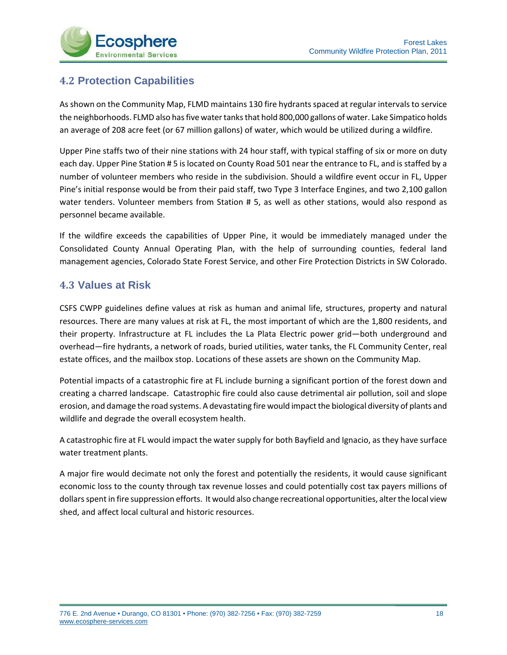

## **4.2 Protection Capabilities**

As shown on the Community Map, FLMD maintains 130 fire hydrants spaced at regular intervals to service the neighborhoods. FLMD also has five water tanks that hold 800,000 gallons of water. Lake Simpatico holds an average of 208 acre feet (or 67 million gallons) of water, which would be utilized during a wildfire.

Upper Pine staffs two of their nine stations with 24 hour staff, with typical staffing of six or more on duty each day. Upper Pine Station # 5 is located on County Road 501 near the entrance to FL, and is staffed by a number of volunteer members who reside in the subdivision. Should a wildfire event occur in FL, Upper Pine's initial response would be from their paid staff, two Type 3 Interface Engines, and two 2,100 gallon water tenders. Volunteer members from Station # 5, as well as other stations, would also respond as personnel became available.

If the wildfire exceeds the capabilities of Upper Pine, it would be immediately managed under the Consolidated County Annual Operating Plan, with the help of surrounding counties, federal land management agencies, Colorado State Forest Service, and other Fire Protection Districts in SW Colorado.

#### **4.3 Values at Risk**

CSFS CWPP guidelines define values at risk as human and animal life, structures, property and natural resources. There are many values at risk at FL, the most important of which are the 1,800 residents, and their property. Infrastructure at FL includes the La Plata Electric power grid—both underground and overhead—fire hydrants, a network of roads, buried utilities, water tanks, the FL Community Center, real estate offices, and the mailbox stop. Locations of these assets are shown on the Community Map.

Potential impacts of a catastrophic fire at FL include burning a significant portion of the forest down and creating a charred landscape. Catastrophic fire could also cause detrimental air pollution, soil and slope erosion, and damage the road systems. A devastating fire would impactthe biological diversity of plants and wildlife and degrade the overall ecosystem health.

A catastrophic fire at FL would impact the water supply for both Bayfield and Ignacio, as they have surface water treatment plants.

A major fire would decimate not only the forest and potentially the residents, it would cause significant economic loss to the county through tax revenue losses and could potentially cost tax payers millions of dollarsspent in fire suppression efforts. It would also change recreational opportunities, alterthe local view shed, and affect local cultural and historic resources.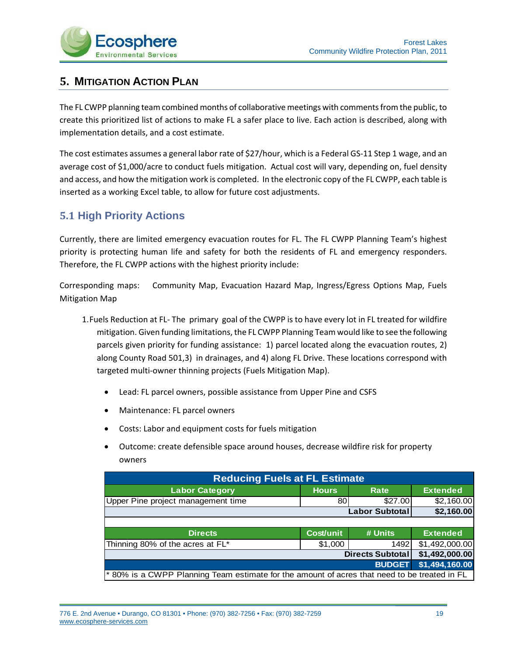

## **5. MITIGATION ACTION PLAN**

The FL CWPP planning team combined months of collaborative meetings with comments from the public, to create this prioritized list of actions to make FL a safer place to live. Each action is described, along with implementation details, and a cost estimate.

The cost estimates assumes a general labor rate of \$27/hour, which is a Federal GS‐11 Step 1 wage, and an average cost of \$1,000/acre to conduct fuels mitigation. Actual cost will vary, depending on, fuel density and access, and how the mitigation work is completed. In the electronic copy of the FL CWPP, each table is inserted as a working Excel table, to allow for future cost adjustments.

## **5.1 High Priority Actions**

Currently, there are limited emergency evacuation routes for FL. The FL CWPP Planning Team's highest priority is protecting human life and safety for both the residents of FL and emergency responders. Therefore, the FL CWPP actions with the highest priority include:

Corresponding maps: Community Map, Evacuation Hazard Map, Ingress/Egress Options Map, Fuels Mitigation Map

- 1.Fuels Reduction at FL‐ The primary goal of the CWPP is to have every lot in FL treated for wildfire mitigation. Given funding limitations, the FL CWPP Planning Team would like to see the following parcels given priority for funding assistance: 1) parcel located along the evacuation routes, 2) along County Road 501,3) in drainages, and 4) along FL Drive. These locations correspond with targeted multi‐owner thinning projects (Fuels Mitigation Map).
	- Lead: FL parcel owners, possible assistance from Upper Pine and CSFS
	- Maintenance: FL parcel owners
	- Costs: Labor and equipment costs for fuels mitigation
	- Outcome: create defensible space around houses, decrease wildfire risk for property owners

| <b>Reducing Fuels at FL Estimate</b> |              |                         |                 |  |
|--------------------------------------|--------------|-------------------------|-----------------|--|
| <b>Labor Category</b>                | <b>Hours</b> | Rate                    | <b>Extended</b> |  |
| Upper Pine project management time   | 80           | \$27.00                 | \$2,160.00      |  |
|                                      |              | <b>Labor Subtotal</b>   | \$2,160.00      |  |
|                                      |              |                         |                 |  |
|                                      |              |                         |                 |  |
| <b>Directs</b>                       | Cost/unit    | # Units                 | <b>Extended</b> |  |
| Thinning 80% of the acres at FL*     | \$1,000      | 1492                    | \$1,492,000.00  |  |
|                                      |              | <b>Directs Subtotal</b> | \$1,492,000.00  |  |
|                                      |              | <b>BUDGET</b>           | \$1,494,160.00  |  |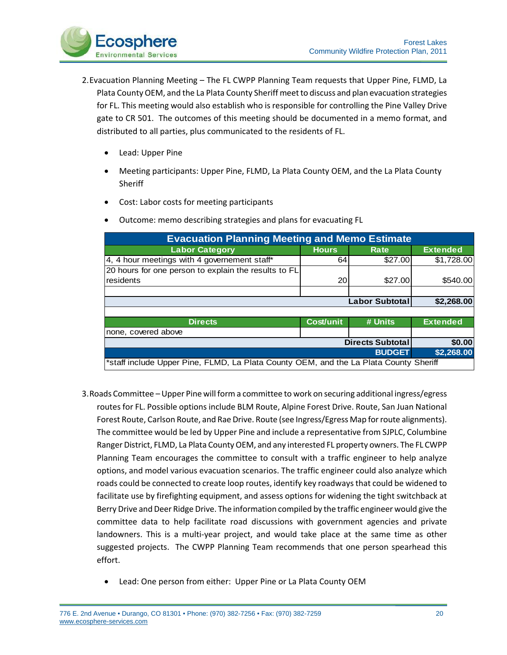

- 2.Evacuation Planning Meeting The FL CWPP Planning Team requests that Upper Pine, FLMD, La Plata County OEM, and the La Plata County Sheriff meet to discuss and plan evacuation strategies for FL. This meeting would also establish who is responsible for controlling the Pine Valley Drive gate to CR 501. The outcomes of this meeting should be documented in a memo format, and distributed to all parties, plus communicated to the residents of FL.
	- Lead: Upper Pine
	- Meeting participants: Upper Pine, FLMD, La Plata County OEM, and the La Plata County Sheriff
	- Cost: Labor costs for meeting participants

| <b>Evacuation Planning Meeting and Memo Estimate</b>                                  |              |         |                 |  |
|---------------------------------------------------------------------------------------|--------------|---------|-----------------|--|
| <b>Labor Category</b>                                                                 | <b>Hours</b> | Rate    | <b>Extended</b> |  |
| 4, 4 hour meetings with 4 governement staff*                                          | 64           | \$27.00 | \$1,728.00      |  |
| 20 hours for one person to explain the results to FL                                  |              |         |                 |  |
| residents                                                                             | 20           | \$27.00 | \$540.00        |  |
|                                                                                       |              |         |                 |  |
|                                                                                       | \$2,268.00   |         |                 |  |
|                                                                                       |              |         |                 |  |
| <b>Directs</b>                                                                        | Cost/unit    | # Units | <b>Extended</b> |  |
| none, covered above                                                                   |              |         |                 |  |
|                                                                                       | \$0.00       |         |                 |  |
|                                                                                       | \$2,268.00   |         |                 |  |
| *staff include Upper Pine, FLMD, La Plata County OEM, and the La Plata County Sheriff |              |         |                 |  |

Outcome: memo describing strategies and plans for evacuating FL

- 3.Roads Committee –Upper Pine will form a committee to work on securing additional ingress/egress routes for FL. Possible options include BLM Route, Alpine Forest Drive. Route, San Juan National Forest Route, Carlson Route, and Rae Drive. Route (see Ingress/Egress Map forroute alignments). The committee would be led by Upper Pine and include a representative from SJPLC, Columbine Ranger District, FLMD, La Plata County OEM, and any interested FL property owners. The FL CWPP Planning Team encourages the committee to consult with a traffic engineer to help analyze options, and model various evacuation scenarios. The traffic engineer could also analyze which roads could be connected to create loop routes, identify key roadwaysthat could be widened to facilitate use by firefighting equipment, and assess options for widening the tight switchback at Berry Drive and Deer Ridge Drive. The information compiled by the traffic engineer would give the committee data to help facilitate road discussions with government agencies and private landowners. This is a multi‐year project, and would take place at the same time as other suggested projects. The CWPP Planning Team recommends that one person spearhead this effort.
	- Lead: One person from either: Upper Pine or La Plata County OEM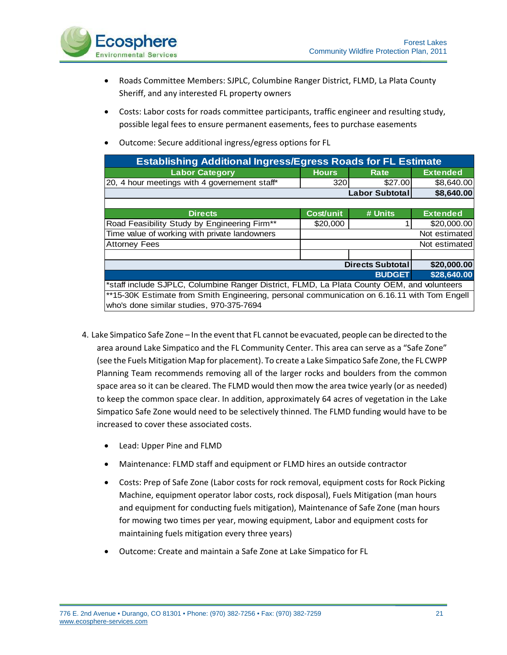

- Roads Committee Members: SJPLC, Columbine Ranger District, FLMD, La Plata County Sheriff, and any interested FL property owners
- Costs: Labor costs for roads committee participants, traffic engineer and resulting study, possible legal fees to ensure permanent easements, fees to purchase easements
- Outcome: Secure additional ingress/egress options for FL

| <b>Establishing Additional Ingress/Egress Roads for FL Estimate</b>                         |               |                          |                 |
|---------------------------------------------------------------------------------------------|---------------|--------------------------|-----------------|
| <b>Labor Category</b>                                                                       | <b>Hours</b>  | Rate                     | <b>Extended</b> |
| 20, 4 hour meetings with 4 governement staff*                                               | 320           | \$27.00                  | \$8.640.00      |
|                                                                                             |               | Labor Subtotal           | \$8,640.00      |
|                                                                                             |               |                          |                 |
| <b>Directs</b>                                                                              | Cost/unit     | # Units                  | <b>Extended</b> |
| Road Feasibility Study by Engineering Firm**                                                | \$20,000      |                          | \$20,000.00     |
| Time value of working with private landowners                                               | Not estimated |                          |                 |
| <b>Attorney Fees</b>                                                                        | Not estimated |                          |                 |
|                                                                                             |               |                          |                 |
|                                                                                             |               | <b>Directs Subtotall</b> | \$20,000.00     |
|                                                                                             |               | <b>BUDGET</b>            | \$28,640.00     |
| *staff include SJPLC, Columbine Ranger District, FLMD, La Plata County OEM, and volunteers  |               |                          |                 |
| **15-30K Estimate from Smith Engineering, personal communication on 6.16.11 with Tom Engell |               |                          |                 |
| who's done similar studies, 970-375-7694                                                    |               |                          |                 |

- 4. Lake Simpatico Safe Zone In the event that FL cannot be evacuated, people can be directed to the area around Lake Simpatico and the FL Community Center. This area can serve as a "Safe Zone" (see the Fuels Mitigation Map for placement). To create a Lake Simpatico Safe Zone, the FL CWPP Planning Team recommends removing all of the larger rocks and boulders from the common space area so it can be cleared. The FLMD would then mow the area twice yearly (or as needed) to keep the common space clear. In addition, approximately 64 acres of vegetation in the Lake Simpatico Safe Zone would need to be selectively thinned. The FLMD funding would have to be increased to cover these associated costs.
	- Lead: Upper Pine and FLMD
	- Maintenance: FLMD staff and equipment or FLMD hires an outside contractor
	- Costs: Prep of Safe Zone (Labor costs for rock removal, equipment costs for Rock Picking Machine, equipment operator labor costs, rock disposal), Fuels Mitigation (man hours and equipment for conducting fuels mitigation), Maintenance of Safe Zone (man hours for mowing two times per year, mowing equipment, Labor and equipment costs for maintaining fuels mitigation every three years)
	- Outcome: Create and maintain a Safe Zone at Lake Simpatico for FL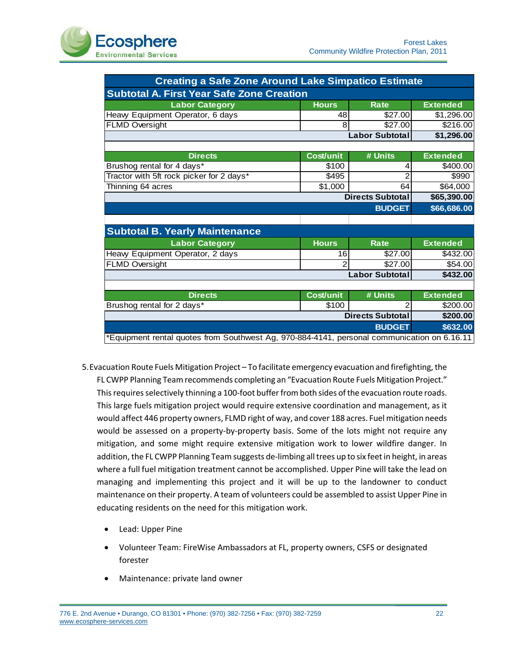

| <b>Creating a Safe Zone Around Lake Simpatico Estimate</b>                                           |                         |                       |                 |  |
|------------------------------------------------------------------------------------------------------|-------------------------|-----------------------|-----------------|--|
| <b>Subtotal A. First Year Safe Zone Creation</b>                                                     |                         |                       |                 |  |
| <b>Labor Category</b>                                                                                | <b>Hours</b>            | <b>Rate</b>           | <b>Extended</b> |  |
| Heavy Equipment Operator, 6 days                                                                     | 48                      | \$27.00               | \$1,296.00      |  |
| <b>FLMD Oversight</b>                                                                                | 8                       | \$27.00               | \$216.00        |  |
|                                                                                                      |                         | <b>Labor Subtotal</b> | \$1,296.00      |  |
|                                                                                                      |                         |                       |                 |  |
| <b>Directs</b>                                                                                       | Cost/unit               | # Units               | <b>Extended</b> |  |
| Brushog rental for 4 days*                                                                           | \$100                   |                       | \$400.00        |  |
| Tractor with 5ft rock picker for 2 days*                                                             | \$495                   |                       | \$990           |  |
| Thinning 64 acres                                                                                    | \$1,000                 | 64                    | \$64,000        |  |
|                                                                                                      | \$65,390.00             |                       |                 |  |
|                                                                                                      |                         | <b>BUDGET</b>         | \$66,686.00     |  |
|                                                                                                      |                         |                       |                 |  |
| <b>Subtotal B. Yearly Maintenance</b>                                                                |                         |                       |                 |  |
| <b>Labor Category</b>                                                                                | <b>Hours</b>            | <b>Rate</b>           | <b>Extended</b> |  |
| Heavy Equipment Operator, 2 days                                                                     | 16                      | \$27.00               | \$432.00        |  |
| <b>FLMD Oversight</b>                                                                                | 2                       | \$27.00               | \$54.00         |  |
| <b>Labor Subtotal</b>                                                                                |                         |                       | \$432.00        |  |
|                                                                                                      |                         |                       |                 |  |
| <b>Directs</b>                                                                                       | Cost/unit<br>\$100      | # Units               | Extended        |  |
| Brushog rental for 2 days*                                                                           | 2                       | \$200.00              |                 |  |
|                                                                                                      | <b>Directs Subtotal</b> | \$200.00              |                 |  |
| *Equipment rental quotes from Couthwest $A \times 070.004$ 44.44, personal communication on G 46.44. | \$632.00                |                       |                 |  |

 $\Gamma$  Equipment rental quotes from Southwest Ag, 970-884-4141, personal communication on 6.16.11

- 5.Evacuation Route Fuels Mitigation Project To facilitate emergency evacuation and firefighting,the FL CWPP Planning Teamrecommends completing an "Evacuation Route Fuels Mitigation Project." This requires selectively thinning a 100-foot buffer from both sides of the evacuation route roads. This large fuels mitigation project would require extensive coordination and management, as it would affect 446 property owners, FLMD right of way, and cover 188 acres. Fuel mitigation needs would be assessed on a property-by-property basis. Some of the lots might not require any mitigation, and some might require extensive mitigation work to lower wildfire danger. In addition, the FL CWPP Planning Team suggests de-limbing all trees up to six feet in height, in areas where a full fuel mitigation treatment cannot be accomplished. Upper Pine will take the lead on managing and implementing this project and it will be up to the landowner to conduct maintenance on their property. A team of volunteers could be assembled to assist Upper Pine in educating residents on the need for this mitigation work.
	- Lead: Upper Pine
	- Volunteer Team: FireWise Ambassadors at FL, property owners, CSFS or designated forester
	- Maintenance: private land owner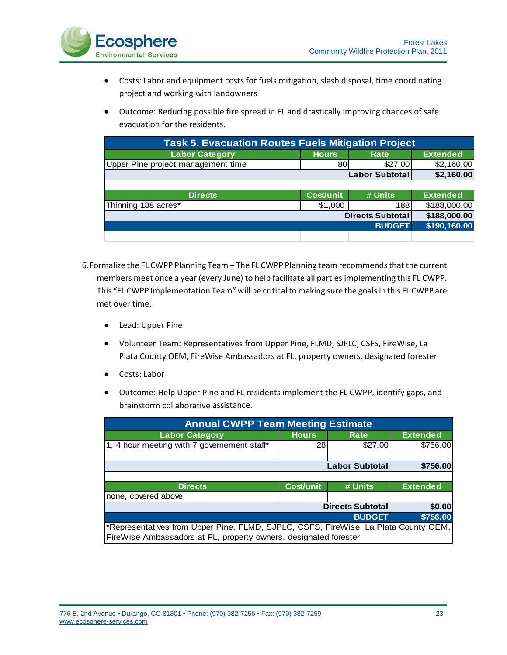

- Costs: Labor and equipment costs for fuels mitigation, slash disposal, time coordinating project and working with landowners
- Outcome: Reducing possible fire spread in FL and drastically improving chances of safe evacuation for the residents.

| <b>Task 5. Evacuation Routes Fuels Mitigation Project</b> |              |                         |                 |  |
|-----------------------------------------------------------|--------------|-------------------------|-----------------|--|
| <b>Labor Category</b>                                     | <b>Hours</b> | <b>Rate</b>             | <b>Extended</b> |  |
| Upper Pine project management time                        | 80           | \$27.00                 | \$2,160.00      |  |
|                                                           | \$2,160.00   |                         |                 |  |
|                                                           |              |                         |                 |  |
| <b>Directs</b>                                            | Cost/unit    | # Units                 | <b>Extended</b> |  |
| Thinning 188 acres*                                       | \$1,000      | 188                     | \$188,000.00    |  |
|                                                           |              | <b>Directs Subtotal</b> | \$188,000.00    |  |
|                                                           |              | <b>BUDGET</b>           | \$190,160.00    |  |
|                                                           |              |                         |                 |  |

- 6. Formalize the FL CWPP Planning Team The FL CWPP Planning team recommends that the current members meet once a year (every June) to help facilitate all parties implementing this FL CWPP. This "FL CWPP Implementation Team" will be critical to making sure the goals in this FL CWPP are met over time.
	- Lead: Upper Pine
	- Volunteer Team: Representatives from Upper Pine, FLMD, SJPLC, CSFS, FireWise, La Plata County OEM, FireWise Ambassadors at FL, property owners, designated forester
	- Costs: Labor
	- Outcome: Help Upper Pine and FL residents implement the FL CWPP, identify gaps, and brainstorm collaborative assistance.

| <b>Annual CWPP Team Meeting Estimate</b>                                            |              |                       |                 |
|-------------------------------------------------------------------------------------|--------------|-----------------------|-----------------|
| <b>Labor Category</b>                                                               | <b>Hours</b> | Rate                  | <b>Extended</b> |
| 1, 4 hour meeting with 7 governement staff*                                         | 28           | \$27.00               | \$756.00        |
|                                                                                     |              |                       |                 |
|                                                                                     |              | <b>Labor Subtotal</b> | \$756.00        |
|                                                                                     |              |                       |                 |
| <b>Directs</b>                                                                      | Cost/unit    | # Units               | <b>Extended</b> |
| none, covered above                                                                 |              |                       |                 |
| \$0.00<br>Directs Subtotal                                                          |              |                       |                 |
| \$756.00<br><b>BUDGET</b>                                                           |              |                       |                 |
| *Representatives from Upper Pine, FLMD, SJPLC, CSFS, FireWise, La Plata County OEM, |              |                       |                 |
| FireWise Ambassadors at FL, property owners, designated forester                    |              |                       |                 |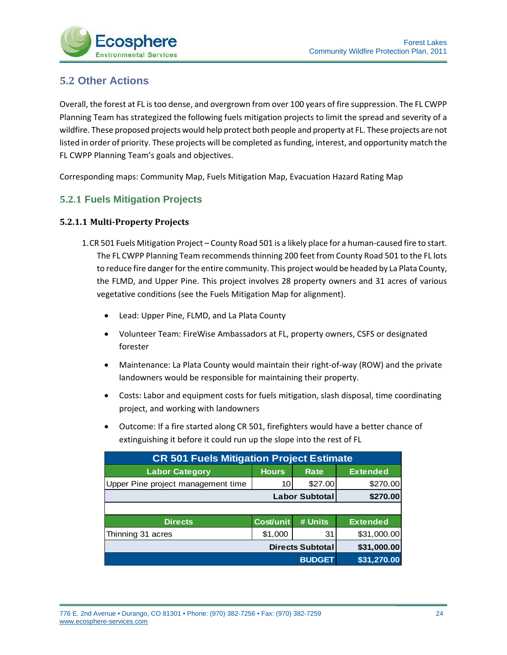

## **5.2 Other Actions**

Overall, the forest at FL istoo dense, and overgrown from over 100 years of fire suppression. The FL CWPP Planning Team has strategized the following fuels mitigation projects to limit the spread and severity of a wildfire. These proposed projects would help protect both people and property at FL. These projects are not listed in order of priority. These projects will be completed asfunding, interest, and opportunity match the FL CWPP Planning Team's goals and objectives.

Corresponding maps: Community Map, Fuels Mitigation Map, Evacuation Hazard Rating Map

## **5.2.1 Fuels Mitigation Projects**

#### **5.2.1.1 Multi‐Property Projects**

- 1.CR 501 Fuels Mitigation Project County Road 501 is a likely place for a human‐caused fire to start. The FL CWPP Planning Team recommends thinning 200 feet from County Road 501 to the FL lots to reduce fire danger for the entire community. This project would be headed by La Plata County, the FLMD, and Upper Pine. This project involves 28 property owners and 31 acres of various vegetative conditions (see the Fuels Mitigation Map for alignment).
	- Lead: Upper Pine, FLMD, and La Plata County
	- Volunteer Team: FireWise Ambassadors at FL, property owners, CSFS or designated forester
	- Maintenance: La Plata County would maintain their right-of-way (ROW) and the private landowners would be responsible for maintaining their property.
	- Costs: Labor and equipment costs for fuels mitigation, slash disposal, time coordinating project, and working with landowners
	- Outcome: If a fire started along CR 501, firefighters would have a better chance of extinguishing it before it could run up the slope into the rest of FL

| <b>CR 501 Fuels Mitigation Project Estimate</b> |              |               |                 |
|-------------------------------------------------|--------------|---------------|-----------------|
| <b>Labor Category</b>                           | <b>Hours</b> | Rate          | <b>Extended</b> |
| Upper Pine project management time              | 10I          | \$27.00       | \$270.00        |
| <b>Labor Subtotal</b>                           |              |               | \$270.00        |
|                                                 |              |               |                 |
| <b>Directs</b>                                  | Cost/unit    | # Units       | <b>Extended</b> |
| Thinning 31 acres                               | \$1,000      | 31            | \$31,000.00     |
| <b>Directs Subtotal</b>                         |              |               | \$31,000.00     |
|                                                 |              | <b>BUDGET</b> | \$31,270.00     |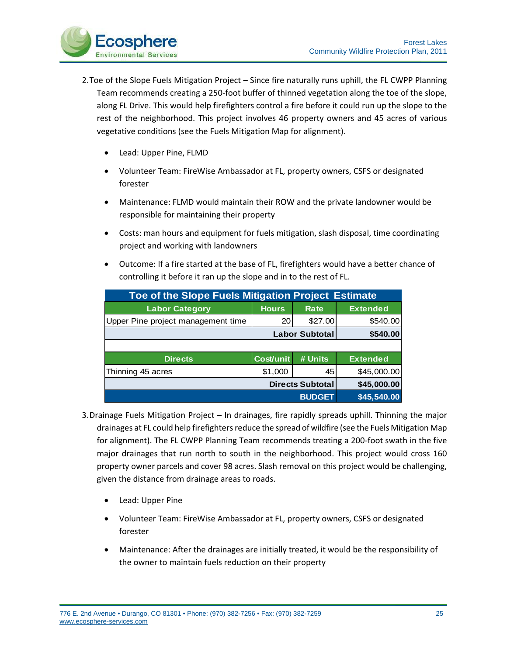

- 2.Toe of the Slope Fuels Mitigation Project Since fire naturally runs uphill, the FL CWPP Planning Team recommends creating a 250‐foot buffer of thinned vegetation along the toe of the slope, along FL Drive. This would help firefighters control a fire before it could run up the slope to the rest of the neighborhood. This project involves 46 property owners and 45 acres of various vegetative conditions (see the Fuels Mitigation Map for alignment).
	- Lead: Upper Pine, FLMD
	- Volunteer Team: FireWise Ambassador at FL, property owners, CSFS or designated forester
	- Maintenance: FLMD would maintain their ROW and the private landowner would be responsible for maintaining their property
	- Costs: man hours and equipment for fuels mitigation, slash disposal, time coordinating project and working with landowners
	- Outcome: If a fire started at the base of FL, firefighters would have a better chance of controlling it before it ran up the slope and in to the rest of FL.

| Toe of the Slope Fuels Mitigation Project Estimate |              |               |                 |
|----------------------------------------------------|--------------|---------------|-----------------|
| <b>Labor Category</b>                              | <b>Hours</b> | Rate          | <b>Extended</b> |
| Upper Pine project management time                 | 20           | \$27.00       | \$540.00        |
| <b>Labor Subtotal</b>                              |              |               | \$540.00        |
|                                                    |              |               |                 |
| <b>Directs</b>                                     | Cost/unit    | # Units       | <b>Extended</b> |
| Thinning 45 acres                                  | \$1,000      | 45            | \$45,000.00     |
| <b>Directs Subtotal</b>                            |              |               | \$45,000.00     |
|                                                    |              | <b>BUDGET</b> | \$45,540.00     |

- 3.Drainage Fuels Mitigation Project In drainages, fire rapidly spreads uphill. Thinning the major drainages at FL could help firefighters reduce the spread of wildfire (see the Fuels Mitigation Map for alignment). The FL CWPP Planning Team recommends treating a 200-foot swath in the five major drainages that run north to south in the neighborhood. This project would cross 160 property owner parcels and cover 98 acres. Slash removal on this project would be challenging, given the distance from drainage areas to roads.
	- Lead: Upper Pine
	- Volunteer Team: FireWise Ambassador at FL, property owners, CSFS or designated forester
	- Maintenance: After the drainages are initially treated, it would be the responsibility of the owner to maintain fuels reduction on their property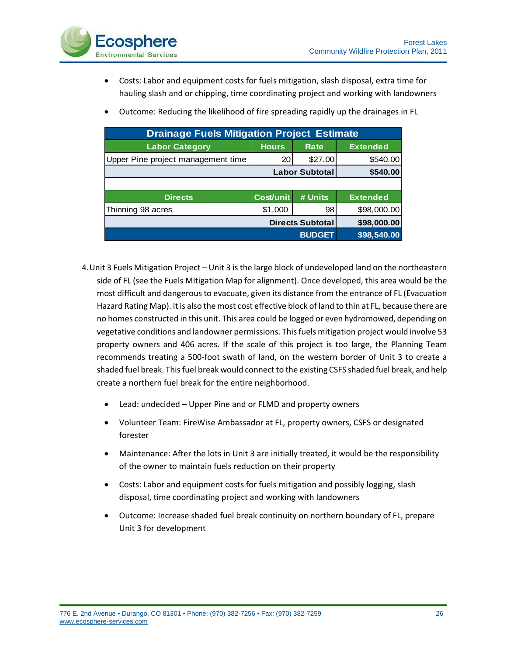

 Costs: Labor and equipment costs for fuels mitigation, slash disposal, extra time for hauling slash and or chipping, time coordinating project and working with landowners

| <b>Drainage Fuels Mitigation Project Estimate</b> |              |               |                 |
|---------------------------------------------------|--------------|---------------|-----------------|
| <b>Labor Category</b>                             | <b>Hours</b> | Rate          | <b>Extended</b> |
| Upper Pine project management time                | <b>20</b>    | \$27.00       | \$540.00        |
| <b>Labor Subtotal</b>                             |              |               | \$540.00        |
|                                                   |              |               |                 |
| <b>Directs</b>                                    | Cost/unit    | # Units       | <b>Extended</b> |
| Thinning 98 acres                                 | \$1,000      | 98            | \$98,000.00     |
| <b>Directs Subtotal</b>                           |              |               | \$98,000.00     |
|                                                   |              | <b>BUDGET</b> | \$98,540.00     |

Outcome: Reducing the likelihood of fire spreading rapidly up the drainages in FL

- 4.Unit 3 Fuels Mitigation Project Unit 3 isthe large block of undeveloped land on the northeastern side of FL (see the Fuels Mitigation Map for alignment). Once developed, this area would be the most difficult and dangerousto evacuate, given its distance from the entrance of FL (Evacuation Hazard Rating Map). It is also the most cost effective block of land to thin at FL, because there are no homes constructed in this unit. This area could be logged or even hydromowed, depending on vegetative conditions and landowner permissions. Thisfuels mitigation project would involve 53 property owners and 406 acres. If the scale of this project is too large, the Planning Team recommends treating a 500‐foot swath of land, on the western border of Unit 3 to create a shaded fuel break. This fuel break would connect to the existing CSFS shaded fuel break, and help create a northern fuel break for the entire neighborhood.
	- Lead: undecided Upper Pine and or FLMD and property owners
	- Volunteer Team: FireWise Ambassador at FL, property owners, CSFS or designated forester
	- Maintenance: After the lots in Unit 3 are initially treated, it would be the responsibility of the owner to maintain fuels reduction on their property
	- Costs: Labor and equipment costs for fuels mitigation and possibly logging, slash disposal, time coordinating project and working with landowners
	- Outcome: Increase shaded fuel break continuity on northern boundary of FL, prepare Unit 3 for development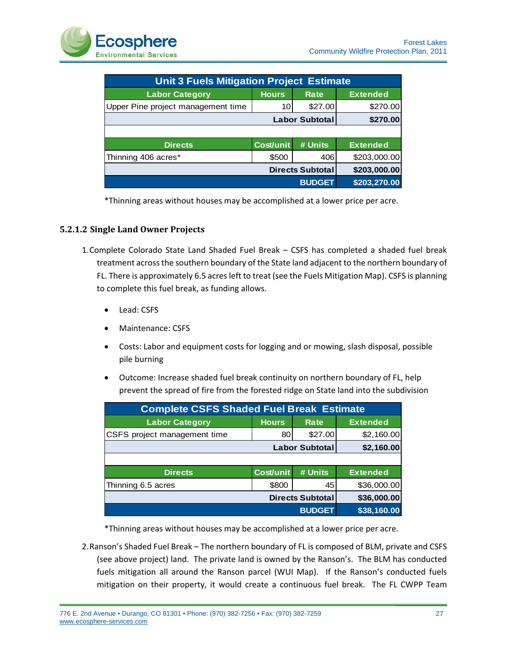

| <b>Unit 3 Fuels Mitigation Project Estimate</b> |              |         |                 |  |
|-------------------------------------------------|--------------|---------|-----------------|--|
| <b>Labor Category</b>                           | <b>Hours</b> | Rate    | <b>Extended</b> |  |
| Upper Pine project management time              | 10           | \$27.00 | \$270.00        |  |
| \$270.00<br><b>Labor Subtotal</b>               |              |         |                 |  |
|                                                 |              |         |                 |  |
| <b>Directs</b>                                  | Cost/unit    | # Units | <b>Extended</b> |  |
| Thinning 406 acres*                             | \$500        | 406     | \$203,000.00    |  |
| <b>Directs Subtotal</b>                         |              |         | \$203,000.00    |  |
| <b>BUDGET</b>                                   |              |         | \$203,270.00    |  |

\*Thinning areas without houses may be accomplished at a lower price per acre.

#### **5.2.1.2 Single Land Owner Projects**

- 1.Complete Colorado State Land Shaded Fuel Break CSFS has completed a shaded fuel break treatment acrossthe southern boundary of the State land adjacent to the northern boundary of FL. There is approximately 6.5 acresleft to treat (see the Fuels Mitigation Map). CSFS is planning to complete this fuel break, as funding allows.
	- Lead: CSFS
	- Maintenance: CSFS
	- Costs: Labor and equipment costs for logging and or mowing, slash disposal, possible pile burning
	- Outcome: Increase shaded fuel break continuity on northern boundary of FL, help prevent the spread of fire from the forested ridge on State land into the subdivision

| <b>Complete CSFS Shaded Fuel Break Estimate</b> |              |               |                 |
|-------------------------------------------------|--------------|---------------|-----------------|
| <b>Labor Category</b>                           | <b>Hours</b> | Rate          | <b>Extended</b> |
| CSFS project management time                    | 80           | \$27.00       | \$2,160.00      |
| <b>Labor Subtotal</b>                           |              |               | \$2,160.00      |
|                                                 |              |               |                 |
| <b>Directs</b>                                  | Cost/unit    | # Units       | <b>Extended</b> |
| Thinning 6.5 acres                              | \$800        | 45            | \$36,000.00     |
| <b>Directs Subtotal</b>                         |              |               | \$36,000.00     |
|                                                 |              | <b>BUDGET</b> | \$38,160.00     |

\*Thinning areas without houses may be accomplished at a lower price per acre.

2.Ranson's Shaded Fuel Break – The northern boundary of FL is composed of BLM, private and CSFS (see above project) land. The private land is owned by the Ranson's. The BLM has conducted fuels mitigation all around the Ranson parcel (WUI Map). If the Ranson's conducted fuels mitigation on their property, it would create a continuous fuel break. The FL CWPP Team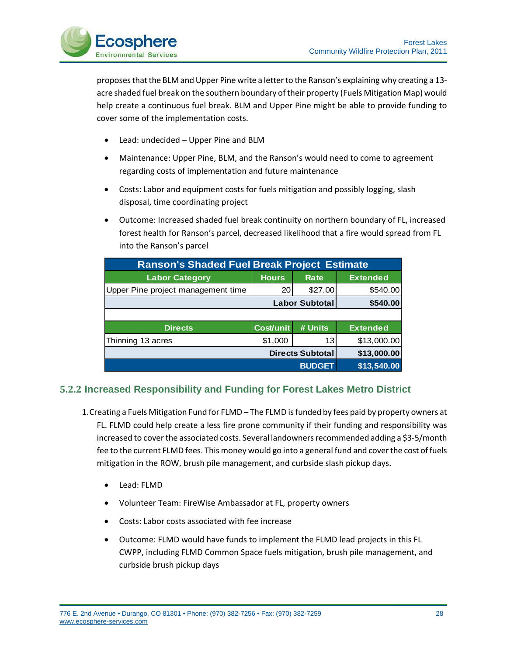

proposes that the BLM and Upper Pine write a letter to the Ranson's explaining why creating a 13acre shaded fuel break on the southern boundary of their property (Fuels Mitigation Map) would help create a continuous fuel break. BLM and Upper Pine might be able to provide funding to cover some of the implementation costs.

- Lead: undecided Upper Pine and BLM
- Maintenance: Upper Pine, BLM, and the Ranson's would need to come to agreement regarding costs of implementation and future maintenance
- Costs: Labor and equipment costs for fuels mitigation and possibly logging, slash disposal, time coordinating project
- Outcome: Increased shaded fuel break continuity on northern boundary of FL, increased forest health for Ranson's parcel, decreased likelihood that a fire would spread from FL into the Ranson's parcel

| <b>Ranson's Shaded Fuel Break Project Estimate</b> |              |                 |                 |
|----------------------------------------------------|--------------|-----------------|-----------------|
| <b>Labor Category</b>                              | <b>Hours</b> | Rate            | <b>Extended</b> |
| Upper Pine project management time                 | 20           | \$27.00         | \$540.00        |
| Labor Subtotal                                     |              |                 | \$540.00        |
|                                                    |              |                 |                 |
| <b>Directs</b>                                     | Cost/unit    | # Units         | <b>Extended</b> |
| Thinning 13 acres                                  | \$1,000      | 13 <sup>l</sup> | \$13,000.00     |
| <b>Directs Subtotal</b>                            |              |                 | \$13,000.00     |
|                                                    |              | <b>BUDGET</b>   | \$13,540.00     |

#### **5.2.2 Increased Responsibility and Funding for Forest Lakes Metro District**

- 1.Creating a Fuels Mitigation Fund for FLMD The FLMD isfunded by fees paid by property owners at FL. FLMD could help create a less fire prone community if their funding and responsibility was increased to cover the associated costs. Several landowners recommended adding a \$3-5/month fee to the current FLMD fees. This money would go into a general fund and cover the cost of fuels mitigation in the ROW, brush pile management, and curbside slash pickup days.
	- Lead: FLMD
	- Volunteer Team: FireWise Ambassador at FL, property owners
	- Costs: Labor costs associated with fee increase
	- Outcome: FLMD would have funds to implement the FLMD lead projects in this FL CWPP, including FLMD Common Space fuels mitigation, brush pile management, and curbside brush pickup days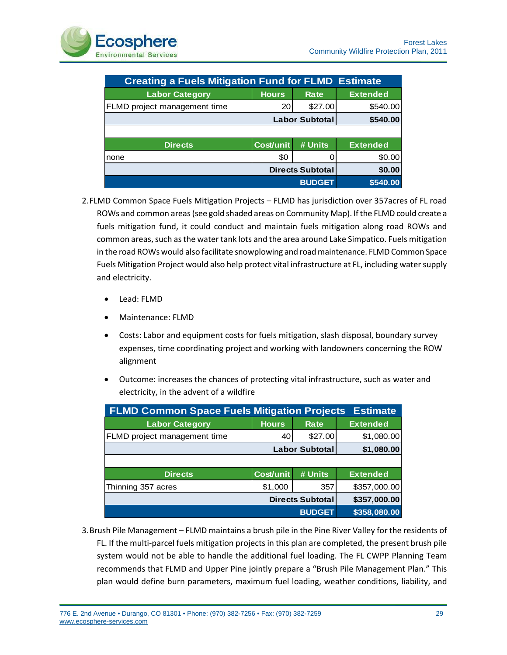

| <b>Creating a Fuels Mitigation Fund for FLMD Estimate</b> |              |               |                 |
|-----------------------------------------------------------|--------------|---------------|-----------------|
| <b>Labor Category</b>                                     | <b>Hours</b> | Rate          | <b>Extended</b> |
| FLMD project management time                              | 20           | \$27.00       | \$540.00        |
|                                                           | \$540.00     |               |                 |
|                                                           |              |               |                 |
| <b>Directs</b>                                            | Cost/unit    | # Units       | <b>Extended</b> |
| none                                                      | \$0          |               | \$0.00          |
| <b>Directs Subtotal</b>                                   |              |               | \$0.00          |
|                                                           |              | <b>BUDGET</b> | \$540.00        |

- 2.FLMD Common Space Fuels Mitigation Projects FLMD has jurisdiction over 357acres of FL road ROWs and common areas (see gold shaded areas on Community Map). If the FLMD could create a fuels mitigation fund, it could conduct and maintain fuels mitigation along road ROWs and common areas, such as the water tank lots and the area around Lake Simpatico. Fuels mitigation in the road ROWs would also facilitate snowplowing and road maintenance. FLMD Common Space Fuels Mitigation Project would also help protect vital infrastructure at FL, including watersupply and electricity.
	- Lead: FLMD
	- Maintenance: FLMD
	- Costs: Labor and equipment costs for fuels mitigation, slash disposal, boundary survey expenses, time coordinating project and working with landowners concerning the ROW alignment
	- Outcome: increases the chances of protecting vital infrastructure, such as water and electricity, in the advent of a wildfire

| <b>FLMD Common Space Fuels Mitigation Projects</b> | <b>Estimate</b> |               |                 |
|----------------------------------------------------|-----------------|---------------|-----------------|
| <b>Labor Category</b>                              | <b>Hours</b>    | Rate          | <b>Extended</b> |
| FLMD project management time                       | 40              | \$27.00       | \$1,080.00      |
| <b>Labor Subtotal</b>                              |                 |               | \$1,080.00      |
|                                                    |                 |               |                 |
| <b>Directs</b>                                     | Cost/unit       | # Units       | <b>Extended</b> |
| Thinning 357 acres                                 | \$1,000         | 357           | \$357,000.00    |
|                                                    | \$357,000.00    |               |                 |
|                                                    |                 | <b>BUDGET</b> | \$358,080.00    |

3.Brush Pile Management – FLMD maintains a brush pile in the Pine River Valley for the residents of FL. If the multi-parcel fuels mitigation projects in this plan are completed, the present brush pile system would not be able to handle the additional fuel loading. The FL CWPP Planning Team recommends that FLMD and Upper Pine jointly prepare a "Brush Pile Management Plan." This plan would define burn parameters, maximum fuel loading, weather conditions, liability, and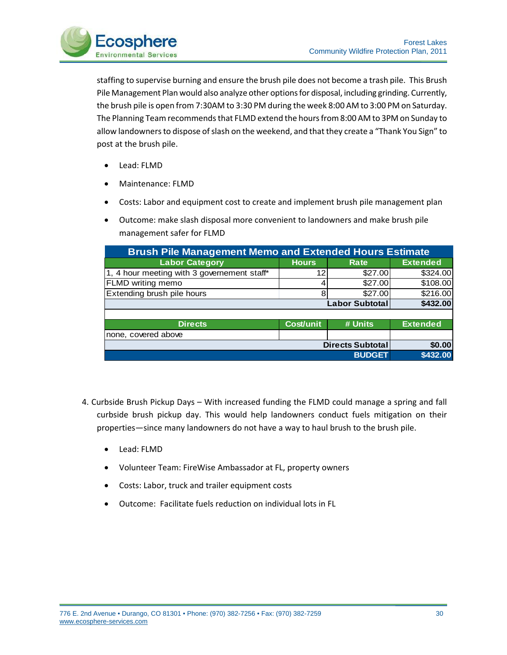

staffing to supervise burning and ensure the brush pile does not become a trash pile. This Brush Pile Management Plan would also analyze other optionsfor disposal, including grinding. Currently, the brush pile is open from 7:30AM to 3:30 PM during the week 8:00 AM to 3:00 PM on Saturday. The Planning Team recommends that FLMD extend the hours from 8:00 AM to 3PM on Sunday to allow landowners to dispose of slash on the weekend, and that they create a "Thank You Sign" to post at the brush pile.

- Lead: FLMD
- Maintenance: FLMD
- Costs: Labor and equipment cost to create and implement brush pile management plan
- Outcome: make slash disposal more convenient to landowners and make brush pile management safer for FLMD

| <b>Brush Pile Management Memo and Extended Hours Estimate</b> |              |         |                 |
|---------------------------------------------------------------|--------------|---------|-----------------|
| <b>Labor Category</b>                                         | <b>Hours</b> | Rate    | <b>Extended</b> |
| 1, 4 hour meeting with 3 governement staff*                   | 12           | \$27.00 | \$324.00        |
| <b>FLMD</b> writing memo                                      |              | \$27.00 | \$108.00        |
| Extending brush pile hours                                    |              | \$27.00 | \$216.00        |
|                                                               | \$432.00     |         |                 |
|                                                               |              |         |                 |
| <b>Directs</b>                                                | Cost/unit    | # Units | <b>Extended</b> |
| none, covered above                                           |              |         |                 |
|                                                               | \$0.00       |         |                 |
| <b>BUDGET</b>                                                 |              |         | \$432.00        |

- 4. Curbside Brush Pickup Days With increased funding the FLMD could manage a spring and fall curbside brush pickup day. This would help landowners conduct fuels mitigation on their properties—since many landowners do not have a way to haul brush to the brush pile.
	- Lead: FLMD
	- Volunteer Team: FireWise Ambassador at FL, property owners
	- Costs: Labor, truck and trailer equipment costs
	- Outcome: Facilitate fuels reduction on individual lots in FL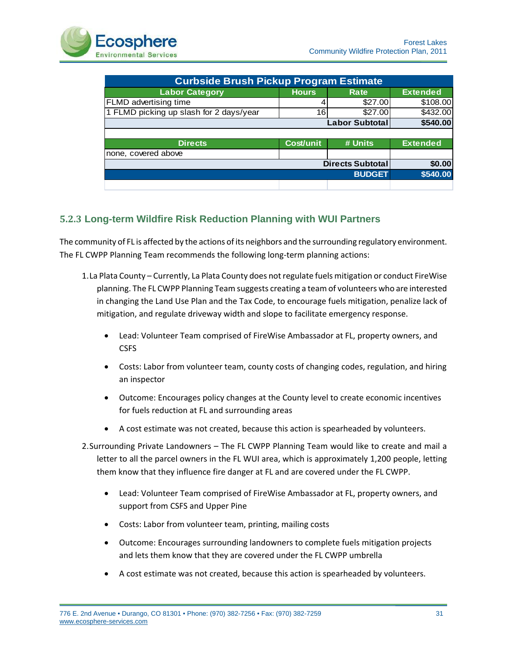

| <b>Curbside Brush Pickup Program Estimate</b> |              |               |                 |
|-----------------------------------------------|--------------|---------------|-----------------|
| <b>Labor Category</b>                         | <b>Hours</b> | Rate          | <b>Extended</b> |
| FLMD advertising time                         |              | \$27.00       | \$108.00        |
| 1 FLMD picking up slash for 2 days/year       | 16           | \$27.00       | \$432.00        |
| <b>Labor Subtotal</b>                         |              |               | \$540.00        |
|                                               |              |               |                 |
| <b>Directs</b>                                | Cost/unit    | # Units       | <b>Extended</b> |
| none, covered above                           |              |               |                 |
| <b>Directs Subtotal</b>                       |              |               | \$0.00          |
|                                               |              | <b>BUDGET</b> | \$540.00        |
|                                               |              |               |                 |

#### **5.2.3 Long-term Wildfire Risk Reduction Planning with WUI Partners**

The community of FL is affected by the actions of its neighbors and the surrounding regulatory environment. The FL CWPP Planning Team recommends the following long‐term planning actions:

- 1.La Plata County Currently, La Plata County does notregulate fuels mitigation or conduct FireWise planning. The FL CWPP Planning Team suggests creating a team of volunteers who are interested in changing the Land Use Plan and the Tax Code, to encourage fuels mitigation, penalize lack of mitigation, and regulate driveway width and slope to facilitate emergency response.
	- Lead: Volunteer Team comprised of FireWise Ambassador at FL, property owners, and **CSFS**
	- Costs: Labor from volunteer team, county costs of changing codes, regulation, and hiring an inspector
	- Outcome: Encourages policy changes at the County level to create economic incentives for fuels reduction at FL and surrounding areas
	- A cost estimate was not created, because this action is spearheaded by volunteers.
- 2.Surrounding Private Landowners The FL CWPP Planning Team would like to create and mail a letter to all the parcel owners in the FL WUI area, which is approximately 1,200 people, letting them know that they influence fire danger at FL and are covered under the FL CWPP.
	- Lead: Volunteer Team comprised of FireWise Ambassador at FL, property owners, and support from CSFS and Upper Pine
	- Costs: Labor from volunteer team, printing, mailing costs
	- Outcome: Encourages surrounding landowners to complete fuels mitigation projects and lets them know that they are covered under the FL CWPP umbrella
	- A cost estimate was not created, because this action is spearheaded by volunteers.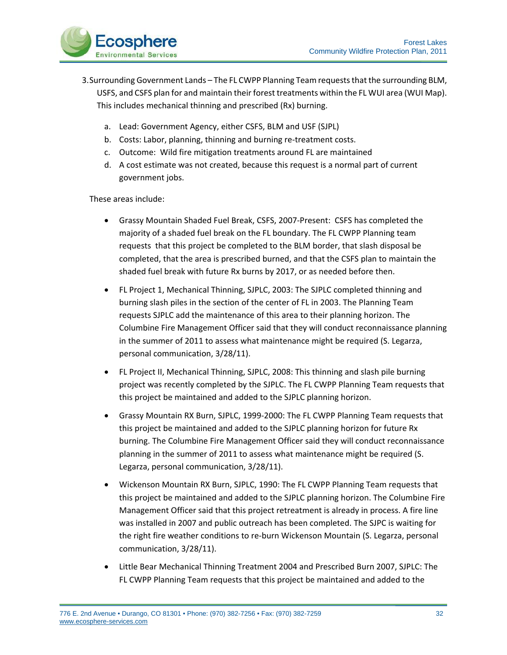

- 3.Surrounding Government Lands The FL CWPP Planning Team requeststhat the surrounding BLM, USFS, and CSFS plan for and maintain their forest treatments within the FL WUI area (WUI Map). This includes mechanical thinning and prescribed (Rx) burning.
	- a. Lead: Government Agency, either CSFS, BLM and USF (SJPL)
	- b. Costs: Labor, planning, thinning and burning re‐treatment costs.
	- c. Outcome: Wild fire mitigation treatments around FL are maintained
	- d. A cost estimate was not created, because this request is a normal part of current government jobs.

These areas include:

- Grassy Mountain Shaded Fuel Break, CSFS, 2007‐Present: CSFS has completed the majority of a shaded fuel break on the FL boundary. The FL CWPP Planning team requests that this project be completed to the BLM border, that slash disposal be completed, that the area is prescribed burned, and that the CSFS plan to maintain the shaded fuel break with future Rx burns by 2017, or as needed before then.
- FL Project 1, Mechanical Thinning, SJPLC, 2003: The SJPLC completed thinning and burning slash piles in the section of the center of FL in 2003. The Planning Team requests SJPLC add the maintenance of this area to their planning horizon. The Columbine Fire Management Officer said that they will conduct reconnaissance planning in the summer of 2011 to assess what maintenance might be required (S. Legarza, personal communication, 3/28/11).
- FL Project II, Mechanical Thinning, SJPLC, 2008: This thinning and slash pile burning project was recently completed by the SJPLC. The FL CWPP Planning Team requests that this project be maintained and added to the SJPLC planning horizon.
- Grassy Mountain RX Burn, SJPLC, 1999‐2000: The FL CWPP Planning Team requests that this project be maintained and added to the SJPLC planning horizon for future Rx burning. The Columbine Fire Management Officer said they will conduct reconnaissance planning in the summer of 2011 to assess what maintenance might be required (S. Legarza, personal communication, 3/28/11).
- Wickenson Mountain RX Burn, SJPLC, 1990: The FL CWPP Planning Team requests that this project be maintained and added to the SJPLC planning horizon. The Columbine Fire Management Officer said that this project retreatment is already in process. A fire line was installed in 2007 and public outreach has been completed. The SJPC is waiting for the right fire weather conditions to re‐burn Wickenson Mountain (S. Legarza, personal communication, 3/28/11).
- Little Bear Mechanical Thinning Treatment 2004 and Prescribed Burn 2007, SJPLC: The FL CWPP Planning Team requests that this project be maintained and added to the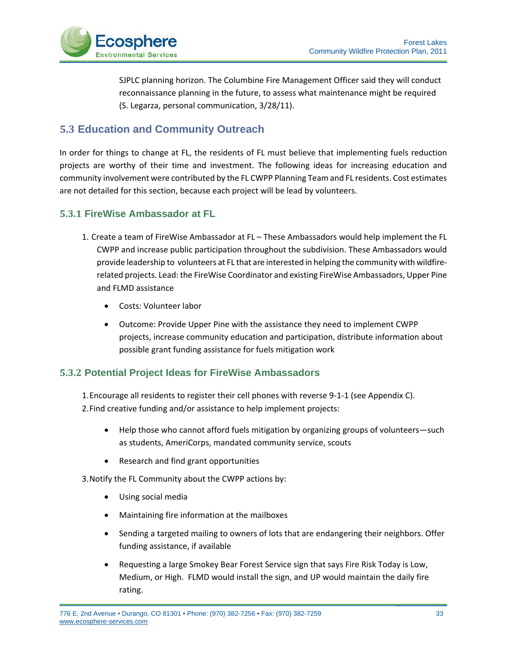

SJPLC planning horizon. The Columbine Fire Management Officer said they will conduct reconnaissance planning in the future, to assess what maintenance might be required (S. Legarza, personal communication, 3/28/11).

## **5.3 Education and Community Outreach**

In order for things to change at FL, the residents of FL must believe that implementing fuels reduction projects are worthy of their time and investment. The following ideas for increasing education and community involvement were contributed by the FL CWPP Planning Team and FL residents. Cost estimates are not detailed for this section, because each project will be lead by volunteers.

#### **5.3.1 FireWise Ambassador at FL**

- 1. Create a team of FireWise Ambassador at FL These Ambassadors would help implement the FL CWPP and increase public participation throughout the subdivision. These Ambassadors would provide leadership to volunteers at FL that are interested in helping the community with wildfire‐ related projects. Lead: the FireWise Coordinator and existing FireWise Ambassadors, Upper Pine and FLMD assistance
	- Costs: Volunteer labor
	- Outcome: Provide Upper Pine with the assistance they need to implement CWPP projects, increase community education and participation, distribute information about possible grant funding assistance for fuels mitigation work

#### **5.3.2 Potential Project Ideas for FireWise Ambassadors**

1.Encourage all residents to register their cell phones with reverse 9‐1‐1 (see Appendix C). 2.Find creative funding and/or assistance to help implement projects:

- Help those who cannot afford fuels mitigation by organizing groups of volunteers—such as students, AmeriCorps, mandated community service, scouts
- Research and find grant opportunities

3.Notify the FL Community about the CWPP actions by:

- Using social media
- Maintaining fire information at the mailboxes
- Sending a targeted mailing to owners of lots that are endangering their neighbors. Offer funding assistance, if available
- Requesting a large Smokey Bear Forest Service sign that says Fire Risk Today is Low, Medium, or High. FLMD would install the sign, and UP would maintain the daily fire rating.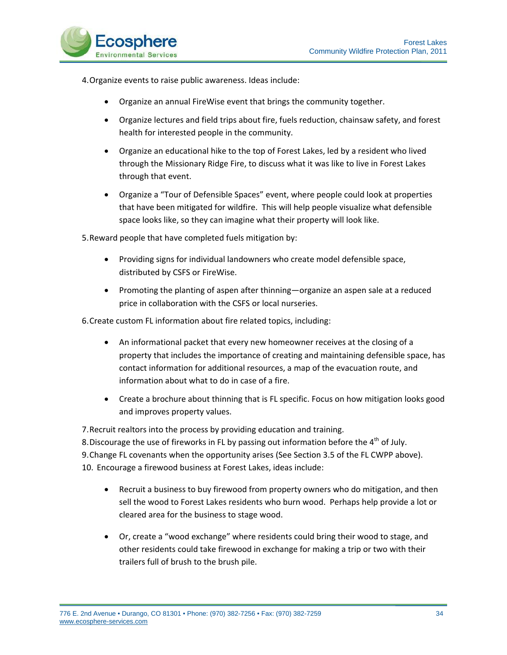

4.Organize events to raise public awareness. Ideas include:

- Organize an annual FireWise event that brings the community together.
- Organize lectures and field trips about fire, fuels reduction, chainsaw safety, and forest health for interested people in the community.
- Organize an educational hike to the top of Forest Lakes, led by a resident who lived through the Missionary Ridge Fire, to discuss what it was like to live in Forest Lakes through that event.
- Organize a "Tour of Defensible Spaces" event, where people could look at properties that have been mitigated for wildfire. This will help people visualize what defensible space looks like, so they can imagine what their property will look like.

5.Reward people that have completed fuels mitigation by:

- Providing signs for individual landowners who create model defensible space, distributed by CSFS or FireWise.
- Promoting the planting of aspen after thinning—organize an aspen sale at a reduced price in collaboration with the CSFS or local nurseries.

6.Create custom FL information about fire related topics, including:

- An informational packet that every new homeowner receives at the closing of a property that includes the importance of creating and maintaining defensible space, has contact information for additional resources, a map of the evacuation route, and information about what to do in case of a fire.
- Create a brochure about thinning that is FL specific. Focus on how mitigation looks good and improves property values.

7.Recruit realtors into the process by providing education and training.

8. Discourage the use of fireworks in FL by passing out information before the  $4<sup>th</sup>$  of July. 9.Change FL covenants when the opportunity arises (See Section 3.5 of the FL CWPP above). 10. Encourage a firewood business at Forest Lakes, ideas include:

- Recruit a business to buy firewood from property owners who do mitigation, and then sell the wood to Forest Lakes residents who burn wood. Perhaps help provide a lot or cleared area for the business to stage wood.
- Or, create a "wood exchange" where residents could bring their wood to stage, and other residents could take firewood in exchange for making a trip or two with their trailers full of brush to the brush pile.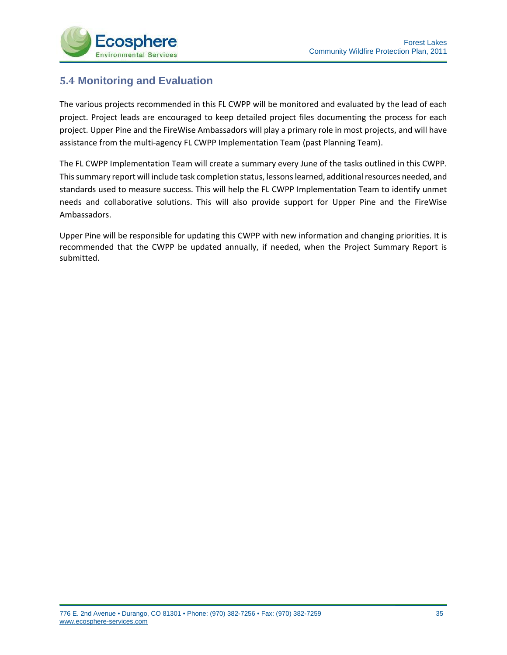

## **5.4 Monitoring and Evaluation**

The various projects recommended in this FL CWPP will be monitored and evaluated by the lead of each project. Project leads are encouraged to keep detailed project files documenting the process for each project. Upper Pine and the FireWise Ambassadors will play a primary role in most projects, and will have assistance from the multi-agency FL CWPP Implementation Team (past Planning Team).

The FL CWPP Implementation Team will create a summary every June of the tasks outlined in this CWPP. This summary report will include task completion status, lessons learned, additional resources needed, and standards used to measure success. This will help the FL CWPP Implementation Team to identify unmet needs and collaborative solutions. This will also provide support for Upper Pine and the FireWise Ambassadors.

Upper Pine will be responsible for updating this CWPP with new information and changing priorities. It is recommended that the CWPP be updated annually, if needed, when the Project Summary Report is submitted.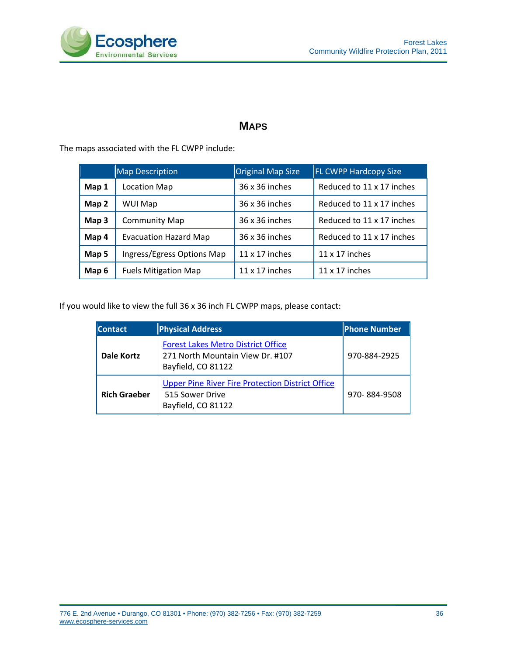

## **MAPS**

The maps associated with the FL CWPP include:

|       | <b>Map Description</b>       | <b>Original Map Size</b> | <b>FL CWPP Hardcopy Size</b> |
|-------|------------------------------|--------------------------|------------------------------|
| Map 1 | Location Map                 | 36 x 36 inches           | Reduced to 11 x 17 inches    |
| Map 2 | WUI Map                      | 36 x 36 inches           | Reduced to 11 x 17 inches    |
| Map 3 | <b>Community Map</b>         | 36 x 36 inches           | Reduced to 11 x 17 inches    |
| Map 4 | <b>Evacuation Hazard Map</b> | 36 x 36 inches           | Reduced to 11 x 17 inches    |
| Map 5 | Ingress/Egress Options Map   | $11 \times 17$ inches    | $11 \times 17$ inches        |
| Map 6 | <b>Fuels Mitigation Map</b>  | $11 \times 17$ inches    | $11 \times 17$ inches        |

If you would like to view the full 36 x 36 inch FL CWPP maps, please contact:

| <b>Contact</b>      | <b>Physical Address</b>                                                                             | <b>Phone Number</b> |
|---------------------|-----------------------------------------------------------------------------------------------------|---------------------|
| Dale Kortz          | <b>Forest Lakes Metro District Office</b><br>271 North Mountain View Dr. #107<br>Bayfield, CO 81122 | 970-884-2925        |
| <b>Rich Graeber</b> | Upper Pine River Fire Protection District Office<br>515 Sower Drive<br>Bayfield, CO 81122           | 970-884-9508        |